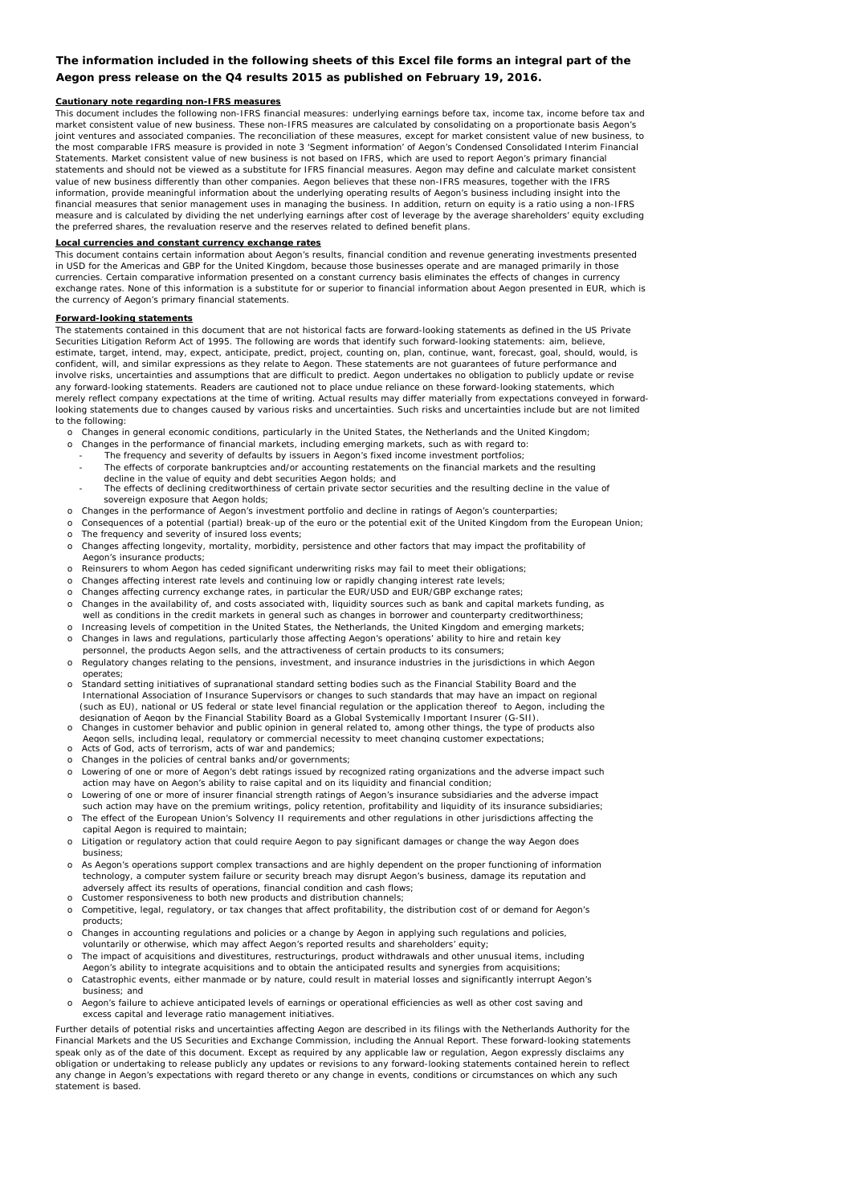### **The information included in the following sheets of this Excel file forms an integral part of the Aegon press release on the Q4 results 2015 as published on February 19, 2016.**

#### **Cautionary note regarding non-IFRS measures**

This document includes the following non-IFRS financial measures: underlying earnings before tax, income tax, income before tax and market consistent value of new business. These non-IFRS measures are calculated by consolidating on a proportionate basis Aegon's joint ventures and associated companies. The reconciliation of these measures, except for market consistent value of new business, to the most comparable IFRS measure is provided in note 3 'Segment information' of Aegon's Condensed Consolidated Interim Financial Statements. Market consistent value of new business is not based on IFRS, which are used to report Aegon's primary financial statements and should not be viewed as a substitute for IFRS financial measures. Aegon may define and calculate market consistent value of new business differently than other companies. Aegon believes that these non-IFRS measures, together with the IFRS information, provide meaningful information about the underlying operating results of Aegon's business including insight into the financial measures that senior management uses in managing the business. In addition, return on equity is a ratio using a non-IFRS measure and is calculated by dividing the net underlying earnings after cost of leverage by the average shareholders' equity excluding the preferred shares, the revaluation reserve and the reserves related to defined benefit plans.

#### **Local currencies and constant currency exchange rates**

This document contains certain information about Aegon's results, financial condition and revenue generating investments presented in USD for the Americas and GBP for the United Kingdom, because those businesses operate and are managed primarily in those currencies. Certain comparative information presented on a constant currency basis eliminates the effects of changes in currency exchange rates. None of this information is a substitute for or superior to financial information about Aegon presented in EUR, which is the currency of Aegon's primary financial statements.

#### **Forward-looking statements**

The statements contained in this document that are not historical facts are forward-looking statements as defined in the US Private Securities Litigation Reform Act of 1995. The following are words that identify such forward-looking statements: aim, believe, estimate, target, intend, may, expect, anticipate, predict, project, counting on, plan, continue, want, forecast, goal, should, would, is confident, will, and similar expressions as they relate to Aegon. These statements are not guarantees of future performance and involve risks, uncertainties and assumptions that are difficult to predict. Aegon undertakes no obligation to publicly update or revise any forward-looking statements. Readers are cautioned not to place undue reliance on these forward-looking statements, which merely reflect company expectations at the time of writing. Actual results may differ materially from expectations conveyed in forwardlooking statements due to changes caused by various risks and uncertainties. Such risks and uncertainties include but are not limited to the following:

- o Changes in general economic conditions, particularly in the United States, the Netherlands and the United Kingdom;
- o Changes in the performance of financial markets, including emerging markets, such as with regard to:
	- The frequency and severity of defaults by issuers in Aegon's fixed income investment portfolios;
	- The effects of corporate bankruptcies and/or accounting restatements on the financial markets and the resulting decline in the value of equity and debt securities Aegon holds; and
	- The effects of declining creditworthiness of certain private sector securities and the resulting decline in the value of sovereign exposure that Aegon holds;
- o Changes in the performance of Aegon's investment portfolio and decline in ratings of Aegon's counterparties;
- o Consequences of a potential (partial) break-up of the euro or the potential exit of the United Kingdom from the European Union; o The frequency and severity of insured loss events;
- o Changes affecting longevity, mortality, morbidity, persistence and other factors that may impact the profitability of Aegon's insurance products;
- Reinsurers to whom Aegon has ceded significant underwriting risks may fail to meet their obligations;
- o Changes affecting interest rate levels and continuing low or rapidly changing interest rate levels;
- o Changes affecting currency exchange rates, in particular the EUR/USD and EUR/GBP exchange rates;
- o Increasing levels of competition in the United States, the Netherlands, the United Kingdom and emerging markets; o Changes in the availability of, and costs associated with, liquidity sources such as bank and capital markets funding, as well as conditions in the credit markets in general such as changes in borrower and counterparty creditworthiness;
- o Changes in laws and regulations, particularly those affecting Aegon's operations' ability to hire and retain key
- personnel, the products Aegon sells, and the attractiveness of certain products to its consumers
- o Regulatory changes relating to the pensions, investment, and insurance industries in the jurisdictions in which Aegon operates<br>Standard
- Standard setting initiatives of supranational standard setting bodies such as the Financial Stability Board and the International Association of Insurance Supervisors or changes to such standards that may have an impact on regional<br>(such as EU), national or US federal or state level financial regulation or the application thereof to Ae
- desianation of Aeaon bv the Financial Stabilitv Board as a Global Svstemicallv Important Insurer (G-SII).<br>o Changes in customer behavior and public opinion in general related to, among other things, the type of products Aegon sells, including legal, regulatory or commercial necessity to meet changing customer expectations;
- o Acts of God, acts of terrorism, acts of war and pandemics;
- o Changes in the policies of central banks and/or governments;
- o Lowering of one or more of Aegon's debt ratings issued by recognized rating organizations and the adverse impact such action may have on Aegon's ability to raise capital and on its liquidity and financial condition;
- o Lowering of one or more of insurer financial strength ratings of Aegon's insurance subsidiaries and the adverse impact such action may have on the premium writings, policy retention, profitability and liquidity of its insurance subsidiaries;<br>o The effect of the European Union's Solvency II requirements and other requiations in other jurisd
- The effect of the European Union's Solvency II requirements and other regulations in other jurisdictions affecting the capital Aegon is required to maintain;
- o Litigation or regulatory action that could require Aegon to pay significant damages or change the way Aegon does business;
- o As Aegon's operations support complex transactions and are highly dependent on the proper functioning of information technology, a computer system failure or security breach may disrupt Aegon's business, damage its reputation and adversely affect its results of operations, financial condition and cash flows;
- o Customer responsiveness to both new products and distribution channels;
- o Competitive, legal, regulatory, or tax changes that affect profitability, the distribution cost of or demand for Aegon's products;
- o Changes in accounting regulations and policies or a change by Aegon in applying such regulations and policies, voluntarily or otherwise, which may affect Aegon's reported results and shareholders' equity;
- o The impact of acquisitions and divestitures, restructurings, product withdrawals and other unusual items, including Aegon's ability to integrate acquisitions and to obtain the anticipated results and synergies from acquisitions;
- o Catastrophic events, either manmade or by nature, could result in material losses and significantly interrupt Aegon's business; and
- Aegon's failure to achieve anticipated levels of earnings or operational efficiencies as well as other cost saving and excess capital and leverage ratio management initiatives.

Further details of potential risks and uncertainties affecting Aegon are described in its filings with the Netherlands Authority for the Financial Markets and the US Securities and Exchange Commission, including the Annual Report. These forward-looking statements speak only as of the date of this document. Except as required by any applicable law or regulation, Aegon expressly disclaims any obligation or undertaking to release publicly any updates or revisions to any forward-looking statements contained herein to reflect any change in Aegon's expectations with regard thereto or any change in events, conditions or circumstances on which any such statement is based.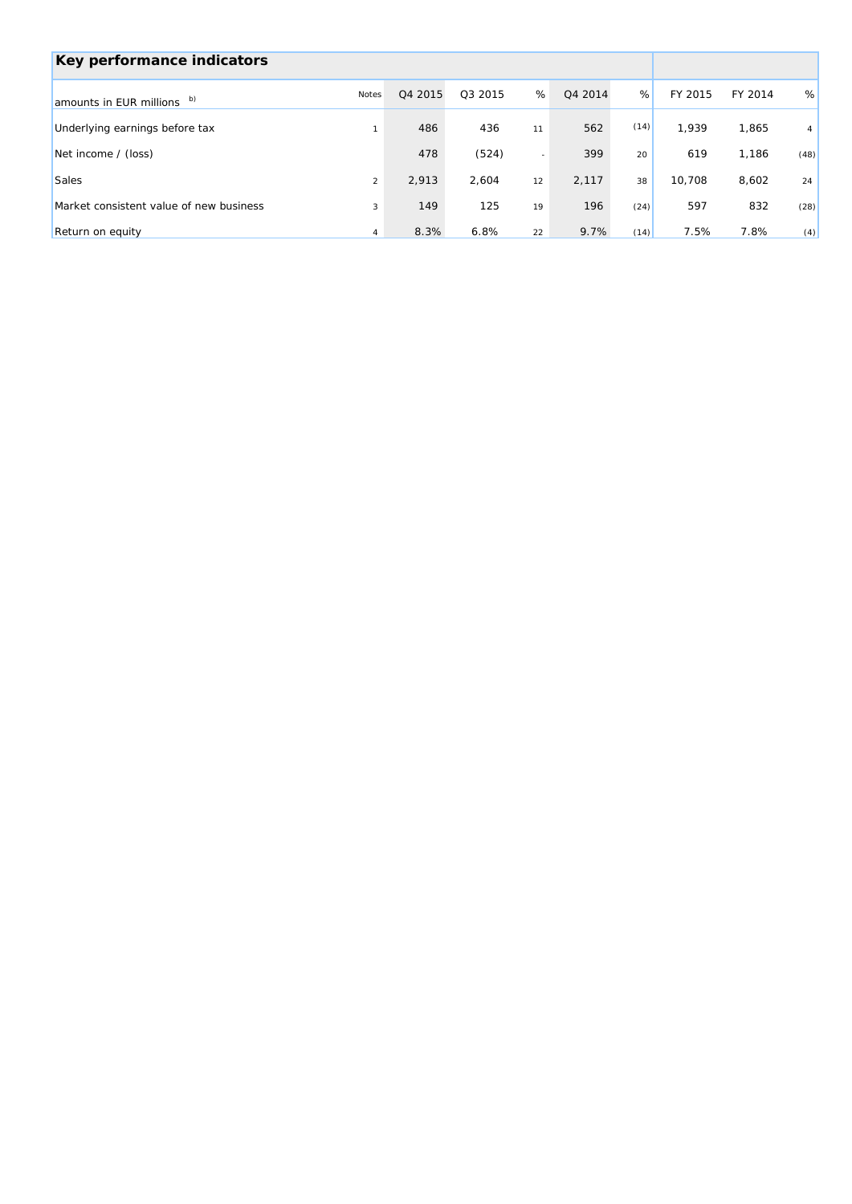| Key performance indicators              |                |         |         |    |         |      |         |         |      |
|-----------------------------------------|----------------|---------|---------|----|---------|------|---------|---------|------|
| amounts in EUR millions b)              | <b>Notes</b>   | Q4 2015 | Q3 2015 | %  | Q4 2014 | %    | FY 2015 | FY 2014 | %    |
| Underlying earnings before tax          |                | 486     | 436     | 11 | 562     | (14) | 1.939   | 1,865   | 4    |
| Net income / (loss)                     |                | 478     | (524)   | ٠  | 399     | 20   | 619     | 1,186   | (48) |
| <b>Sales</b>                            | $\overline{c}$ | 2,913   | 2.604   | 12 | 2,117   | 38   | 10.708  | 8,602   | 24   |
| Market consistent value of new business | 3              | 149     | 125     | 19 | 196     | (24) | 597     | 832     | (28) |
| Return on equity                        | 4              | 8.3%    | 6.8%    | 22 | 9.7%    | (14) | 7.5%    | 7.8%    | (4)  |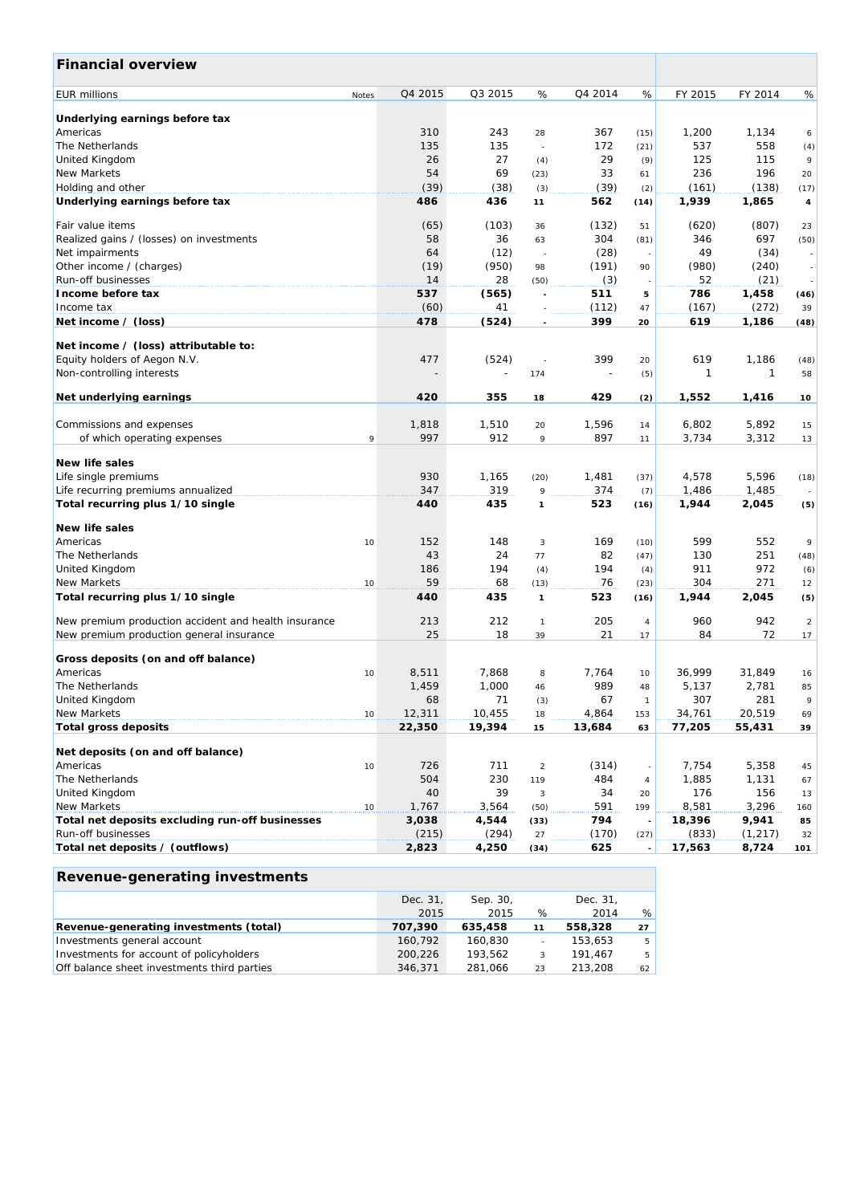| <b>Financial overview</b>                            |       |                  |                  |                |                 |                          |                  |                  |                |
|------------------------------------------------------|-------|------------------|------------------|----------------|-----------------|--------------------------|------------------|------------------|----------------|
| <b>EUR</b> millions                                  | Notes | Q4 2015          | Q3 2015          | %              | Q4 2014         | %                        | FY 2015          | FY 2014          | %              |
| Underlying earnings before tax                       |       |                  |                  |                |                 |                          |                  |                  |                |
| Americas                                             |       | 310              | 243              | 28             | 367             | (15)                     | 1,200            | 1,134            | 6              |
| The Netherlands                                      |       | 135              | 135              |                | 172             | (21)                     | 537              | 558              | (4)            |
| United Kingdom                                       |       | 26               | 27               | (4)            | 29              | (9)                      | 125              | 115              | 9              |
| <b>New Markets</b>                                   |       | 54               | 69               | (23)           | 33              | 61                       | 236              | 196              | 20             |
| Holding and other                                    |       | (39)             | (38)             | (3)            | (39)            | (2)                      | (161)            | (138)            |                |
| Underlying earnings before tax                       |       | 486              | 436              | 11             | 562             | (14)                     | 1,939            | 1,865            | (17)<br>4      |
|                                                      |       |                  |                  |                |                 |                          |                  |                  |                |
| Fair value items                                     |       | (65)             | (103)            | 36             | (132)           | 51                       | (620)            | (807)            | 23             |
| Realized gains / (losses) on investments             |       | 58               | 36               | 63             | 304             | (81)                     | 346              | 697              | (50)           |
| Net impairments                                      |       | 64               | (12)             | ÷,             | (28)            |                          | 49               | (34)             |                |
| Other income / (charges)                             |       | (19)             | (950)            | 98             | (191)           | 90                       | (980)            | (240)            |                |
| Run-off businesses                                   |       | 14               | 28               | (50)           | (3)             |                          | 52               | (21)             |                |
| Income before tax                                    |       | 537              | (565)            | $\overline{a}$ | 511             | 5                        | 786              | 1,458            | (46)           |
| Income tax                                           |       | (60)             | 41.              |                | (112)           | 47                       | (167)            | (272)            | 39             |
| Net income $\prime$ (loss)                           |       | 478              | (524)            | $\overline{a}$ | 399             | 20                       | 619              | 1,186            | (48)           |
| Net income / (loss) attributable to:                 |       |                  |                  |                |                 |                          |                  |                  |                |
| Equity holders of Aegon N.V.                         |       | 477              | (524)            |                | 399             | 20                       | 619              | 1,186            | (48)           |
| Non-controlling interests                            |       |                  | $\overline{a}$   | 174            |                 | (5)                      | 1                | 1                | 58             |
| Net underlying earnings                              |       | 420              | 355              | 18             | 429             | (2)                      | 1,552            | 1,416            | 10             |
|                                                      |       |                  |                  |                |                 |                          |                  |                  |                |
| Commissions and expenses                             |       | 1,818            | 1,510            | 20             | 1,596           | 14                       | 6,802            | 5,892            | 15             |
| of which operating expenses                          | 9     | 997              | 912              | 9              | 897             | 11                       | 3,734            | 3,312            | 13             |
| <b>New life sales</b>                                |       |                  |                  |                |                 |                          |                  |                  |                |
| Life single premiums                                 |       | 930              | 1,165            | (20)           | 1,481           | (37)                     | 4,578            | 5,596            | (18)           |
| Life recurring premiums annualized                   |       | 347              | 319              | 9              | 374             | (7)                      | 1,486            | 1,485            |                |
| Total recurring plus 1/10 single                     |       | 440              | 435              | $\mathbf{1}$   | 523             | (16)                     | 1,944            | 2,045            | (5)            |
| <b>New life sales</b>                                |       |                  |                  |                |                 |                          |                  |                  |                |
| Americas                                             | 10    | 152              | 148              | 3              | 169             | (10)                     | 599              | 552              | 9              |
| The Netherlands                                      |       | 43               | 24               | 77             | 82              | (47)                     | 130              | 251              | (48)           |
| United Kingdom                                       |       | 186              | 194              | (4)            | 194             | (4)                      | 911              | 972              | (6)            |
| New Markets                                          | 10    | 59               | 68               | (13)           | 76              | (23)                     | 304              | 271              | 12             |
| Total recurring plus 1/10 single                     |       | 440              | 435              | $\mathbf{I}$   | 523             | (16)                     | 1,944            | 2,045            | (5)            |
| New premium production accident and health insurance |       | 213              | 212              | $\overline{1}$ | 205             | 4                        | 960              | 942              | $\overline{2}$ |
| New premium production general insurance             |       | 25               | 18               | 39             | 21              | 17                       | 84               | 72               | 17             |
| Gross deposits (on and off balance)                  |       |                  |                  |                |                 |                          |                  |                  |                |
| Americas                                             | 10    | 8,511            | 7,868            | 8              | 7,764           | 10                       | 36,999           | 31,849           | 16             |
| The Netherlands                                      |       | 1,459            | 1,000            |                | 989             |                          | 5,137            | 2,781            |                |
| United Kingdom                                       |       | 68               | 71               | 46             | 67              | 48                       | 307              | 281              | 85<br>9        |
|                                                      |       |                  |                  | (3)            |                 |                          |                  |                  |                |
| New Markets<br><b>Total gross deposits</b>           | 10    | 12,311<br>22,350 | 10,455<br>19,394 | 18<br>15       | 4,864<br>13,684 | 153<br>63                | 34,761<br>77,205 | 20,519<br>55,431 | 69<br>39       |
|                                                      |       |                  |                  |                |                 |                          |                  |                  |                |
| Net deposits (on and off balance)<br>Americas        | 10    | 726              | 711              | $\overline{a}$ | (314)           |                          | 7,754            | 5,358            | 45             |
| The Netherlands                                      |       | 504              | 230              |                | 484             |                          | 1,885            | 1,131            |                |
|                                                      |       |                  | 39               | 119            | 34              | 4                        | 176              |                  | 67             |
| United Kingdom                                       |       | 40               |                  | 3              |                 | 20                       |                  | 156              | 13             |
| New Markets                                          | 10    | 1,767            | 3,564            | (50)           | 591             | 199                      | 8,581            | 3,296            | 160            |
| Total net deposits excluding run-off businesses      |       | 3,038            | 4,544            | (33)           | 794             |                          | 18,396           | 9,941            | 85             |
| Run-off businesses                                   |       | (215)            | (294)            | 27             | (170)           | (27)                     | (833)            | (1, 217)         | 32             |
| Total net deposits / (outflows)                      |       | 2,823            | 4,250            | (34)           | 625             | $\overline{\phantom{a}}$ | 17,563           | 8,724            | 101            |

|                                             | Dec. 31. | Sep. 30. |      | Dec. 31, |    |
|---------------------------------------------|----------|----------|------|----------|----|
|                                             | 2015     | 2015     | $\%$ | 2014     | %  |
| Revenue-generating investments (total)      | 707.390  | 635,458  | 11   | 558,328  | 27 |
| Investments general account                 | 160.792  | 160.830  |      | 153.653  | 5  |
| Investments for account of policyholders    | 200,226  | 193.562  |      | 191.467  | 5  |
| Off balance sheet investments third parties | 346.371  | 281.066  | 23   | 213,208  | 62 |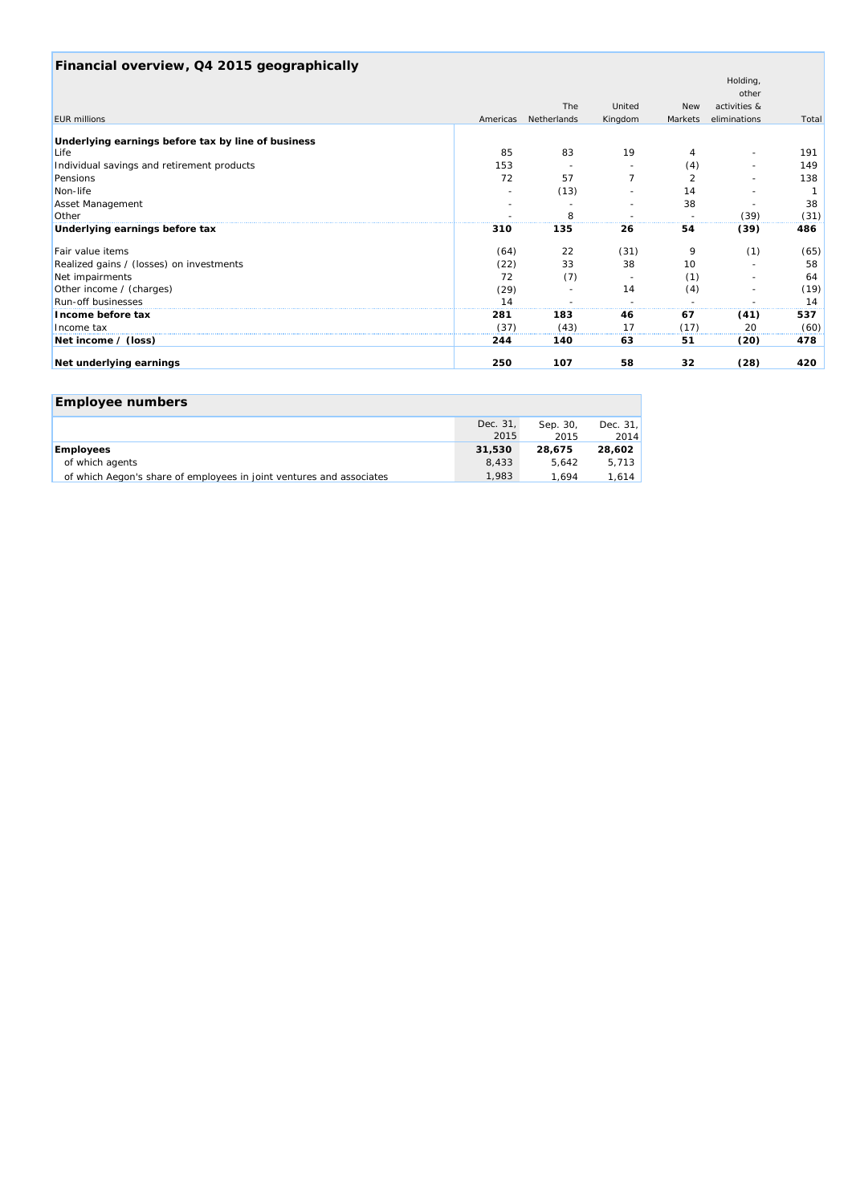| Financial overview, Q4 2015 geographically         |          |             |         |            |              |       |
|----------------------------------------------------|----------|-------------|---------|------------|--------------|-------|
|                                                    |          |             |         |            | Holding,     |       |
|                                                    |          |             |         |            | other        |       |
|                                                    |          | The         | United  | <b>New</b> | activities & |       |
| <b>EUR millions</b>                                | Americas | Netherlands | Kingdom | Markets    | eliminations | Total |
| Underlying earnings before tax by line of business |          |             |         |            |              |       |
| Life                                               | 85       | 83          | 19      | 4          |              | 191   |
| Individual savings and retirement products         | 153      |             |         | (4)        |              | 149   |
| Pensions                                           | 72       | 57          |         |            |              | 138   |
| Non-life                                           |          | (13)        |         | 14         |              |       |
| Asset Management                                   |          |             |         | 38         |              | 38    |
| Other                                              |          | 8           |         |            | (39)         | (31)  |
| Underlying earnings before tax                     | 310      | 135         | 26      | 54         | (39)         | 486   |
| Fair value items                                   | (64)     | 22          | (31)    | 9          | (1)          | (65)  |
| Realized gains / (losses) on investments           | (22)     | 33          | 38      | 10         |              | 58    |
| Net impairments                                    | 72       | (7)         |         | (1)        |              | 64    |
| Other income / (charges)                           | (29)     |             | 14      | (4)        |              | (19)  |
| Run-off businesses                                 | 14       |             |         |            |              | 14    |
| Income before tax                                  | 281      | 183         | 46      | 67         | (41)         | 537   |
| Income tax                                         | (37)     | (43)        | 17      | (17)       | 20           | (60)  |
| Net income $\prime$ (loss)                         | 244      | 140         | 63      | 51         | (20)         | 478   |
| Net underlying earnings                            | 250      | 107         | 58      | 32         | (28)         | 420   |

| <b>Employee numbers</b>                                              |          |          |            |
|----------------------------------------------------------------------|----------|----------|------------|
|                                                                      | Dec. 31, | Sep. 30. | Dec. $31.$ |
|                                                                      | 2015     | 2015     | 2014       |
| <b>Employees</b>                                                     | 31,530   | 28.675   | 28,602     |
| of which agents                                                      | 8.433    | 5.642    | 5.713      |
| of which Aegon's share of employees in joint ventures and associates | 1.983    | 1.694    | 1,614      |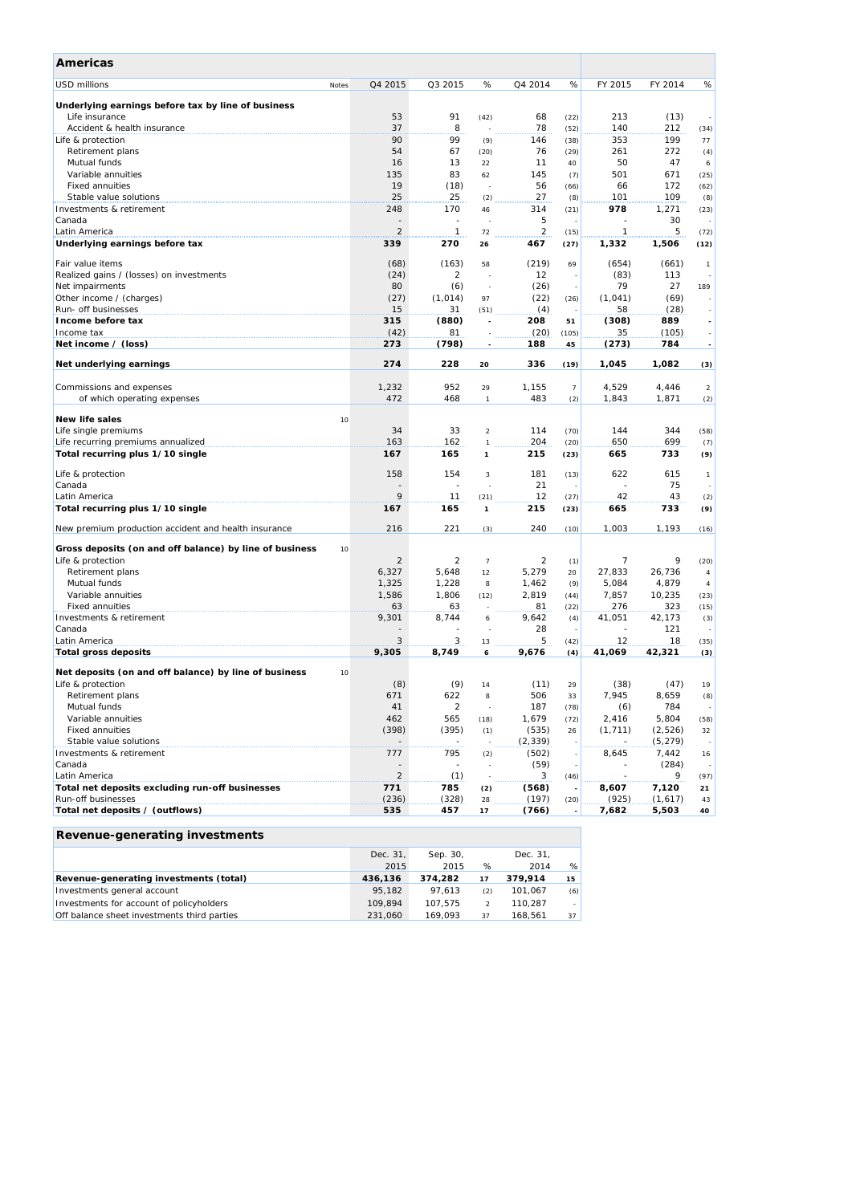| Q4 2015<br>Q3 2015<br>Q4 2014<br>FY 2015<br>FY 2014<br>%<br>%<br><b>USD millions</b><br>%<br>Notes<br>Underlying earnings before tax by line of business<br>91<br>Life insurance<br>53<br>68<br>(22)<br>213<br>(13)<br>(42)<br>$\sim$<br>8<br>37<br>78<br>140<br>212<br>Accident & health insurance<br>(52)<br>(34)<br>90<br>99<br>199<br>Life & protection<br>146<br>353<br>77<br>(9)<br>(38)<br>54<br>76<br>Retirement plans<br>67<br>(29)<br>261<br>272<br>(20)<br>(4)<br>13<br>11<br>50<br>47<br>Mutual funds<br>16<br>22<br>40<br>6<br>83<br>501<br>671<br>Variable annuities<br>135<br>145<br>(25)<br>62<br>(7)<br>19<br>(18)<br>56<br><b>Fixed annuities</b><br>66<br>172<br>(62)<br>(66)<br>÷,<br>25<br>25<br>27<br>101<br>Stable value solutions<br>109<br>(2)<br>(8)<br>(8)<br>170<br>314<br>1,271<br>Investments & retirement<br>248<br>978<br>46<br>(21)<br>(23)<br>5<br>30<br>Canada<br>$\overline{a}$<br>٠<br>$\overline{2}$<br>$\overline{2}$<br>5<br>1<br>1<br>Latin America<br>(15)<br>72<br>(72)<br>Underlying earnings before tax<br>339<br>270<br>467<br>1,506<br>1,332<br>(12)<br>26<br>(27)<br>(68)<br>(163)<br>(219)<br>Fair value items<br>(654)<br>(661)<br>58<br>69<br>$\boldsymbol{\eta}$<br>(24)<br>2<br>12<br>(83)<br>Realized gains / (losses) on investments<br>113<br>80<br>(6)<br>(26)<br>79<br>27<br>Net impairments<br>189<br>÷,<br>(27)<br>(1,014)<br>(22)<br>(69)<br>Other income / (charges)<br>(1,041)<br>97<br>(26)<br>Run- off businesses<br>15<br>31<br>(4)<br>58<br>(28)<br>(51)<br>315<br>(880)<br>208<br>889<br>Income before tax<br>(308)<br>51<br>$\overline{a}$<br>(42)<br>81<br>(20)<br>35<br>Income tax<br>(105)<br>(105)<br>Net income / (loss)<br>273<br>(798)<br>188<br>(273)<br>784<br>45<br>274<br>228<br>336<br>1,045<br>1,082<br>Net underlying earnings<br>(3)<br>20<br>(19)<br>Commissions and expenses<br>1,232<br>952<br>1,155<br>4,529<br>29<br>$\overline{7}$<br>4,446<br>$\overline{\mathbf{c}}$<br>472<br>468<br>483<br>1,871<br>of which operating expenses<br>(2)<br>1,843<br>$\mathcal{I}$<br>(2)<br><b>New life sales</b><br>10<br>34<br>33<br>$\overline{a}$<br>114<br>144<br>344<br>Life single premiums<br>(70)<br>(58)<br>699<br>204<br>Life recurring premiums annualized<br>163<br>162<br>650<br>$\mathcal{I}$<br>(20)<br>(7)<br>215<br>Total recurring plus 1/10 single<br>167<br>165<br>$\pmb{\mathcal{I}}$<br>665<br>733<br>(9)<br>(23)<br>158<br>154<br>181<br>622<br>615<br>Life & protection<br>3<br>(13)<br>$\mathcal{I}$<br>21<br>75<br>Canada<br>$\overline{a}$<br>÷,<br>9<br>11<br>42<br>43<br>Latin America<br>12<br>(27)<br>(21)<br>(2)<br>165<br>215<br>733<br>Total recurring plus 1/10 single<br>167<br>665<br>(9)<br>1<br>(23)<br>216<br>221<br>240<br>New premium production accident and health insurance<br>(10)<br>1,003<br>1,193<br>(3)<br>(16)<br>Gross deposits (on and off balance) by line of business<br>10<br>Life & protection<br>2<br>2<br>9<br>2<br>7<br>7<br>(1)<br>(20)<br>5,648<br>5,279<br>27,833<br>26,736<br>Retirement plans<br>6,327<br>12<br>20<br>$\sqrt{4}$<br>1,325<br>1,228<br>Mutual funds<br>1,462<br>5,084<br>4,879<br>8<br>(9)<br>$\overline{4}$<br>7,857<br>Variable annuities<br>1,586<br>1,806<br>(12)<br>2,819<br>10,235<br>(23)<br>(44)<br>276<br><b>Fixed annuities</b><br>63<br>63<br>81<br>323<br>(15)<br>(22)<br>9,301<br>Investments & retirement<br>8,744<br>9,642<br>41,051<br>42,173<br>(4)<br>(3)<br>6<br>Canada<br>28<br>121<br>3<br>5<br>Latin America<br>3<br>12<br>18<br>(42)<br>(35)<br>13<br>9,305<br>8,749<br>9,676<br><b>Total gross deposits</b><br>41,069<br>42,321<br>6<br>(4)<br>(3)<br>Net deposits (on and off balance) by line of business<br>10<br>Life & protection<br>(8)<br>(9)<br>(11)<br>(38)<br>(47)<br>19<br>14<br>29<br>671<br>622<br>7,945<br>Retirement plans<br>506<br>8,659<br>33<br>(8)<br>8<br>Mutual funds<br>187<br>784<br>41<br>$\overline{a}$<br>(6)<br>(78)<br>$\overline{\phantom{a}}$<br>Variable annuities<br>2,416<br>462<br>565<br>1,679<br>5,804<br>(18)<br>(72)<br>(58)<br><b>Fixed annuities</b><br>(398)<br>(395)<br>(1, 711)<br>(535)<br>(2, 526)<br>(1)<br>32<br>26<br>Stable value solutions<br>(2, 339)<br>(5, 279)<br>Investments & retirement<br>795<br>777<br>(502)<br>7,442<br>8,645<br>16<br>(2)<br>Canada<br>(59)<br>(284)<br>$\overline{\phantom{m}}$<br>$\overline{\phantom{a}}$<br>×,<br>$\overline{c}$<br>Latin America<br>(1)<br>$3_{-}$<br>9<br>(97)<br>(46)<br>Total net deposits excluding run-off businesses<br>771<br>785<br>8,607<br>7,120<br>(568)<br>(2)<br>21<br>Run-off businesses<br>(236)<br>(328)<br>(197)<br>(925)<br>(1,617)<br>28<br>(20)<br>43<br>Total net deposits / (outflows)<br>535<br>457<br>17<br>(766)<br>7,682<br>5,503<br>40 | Americas |  |  |  |  |
|------------------------------------------------------------------------------------------------------------------------------------------------------------------------------------------------------------------------------------------------------------------------------------------------------------------------------------------------------------------------------------------------------------------------------------------------------------------------------------------------------------------------------------------------------------------------------------------------------------------------------------------------------------------------------------------------------------------------------------------------------------------------------------------------------------------------------------------------------------------------------------------------------------------------------------------------------------------------------------------------------------------------------------------------------------------------------------------------------------------------------------------------------------------------------------------------------------------------------------------------------------------------------------------------------------------------------------------------------------------------------------------------------------------------------------------------------------------------------------------------------------------------------------------------------------------------------------------------------------------------------------------------------------------------------------------------------------------------------------------------------------------------------------------------------------------------------------------------------------------------------------------------------------------------------------------------------------------------------------------------------------------------------------------------------------------------------------------------------------------------------------------------------------------------------------------------------------------------------------------------------------------------------------------------------------------------------------------------------------------------------------------------------------------------------------------------------------------------------------------------------------------------------------------------------------------------------------------------------------------------------------------------------------------------------------------------------------------------------------------------------------------------------------------------------------------------------------------------------------------------------------------------------------------------------------------------------------------------------------------------------------------------------------------------------------------------------------------------------------------------------------------------------------------------------------------------------------------------------------------------------------------------------------------------------------------------------------------------------------------------------------------------------------------------------------------------------------------------------------------------------------------------------------------------------------------------------------------------------------------------------------------------------------------------------------------------------------------------------------------------------------------------------------------------------------------------------------------------------------------------------------------------------------------------------------------------------------------------------------------------------------------------------------------------------------------------------------------------------------------------------------------------------------------------------------------------------------------------------------------------------------------------------------------------------------------------------------------------------------------------------------------------------------------------------------------------------------------------------------------------------------------------------------------------------------------------------------------------------------------------------------------------------------------------------------------------------------------------------------------------------------|----------|--|--|--|--|
|                                                                                                                                                                                                                                                                                                                                                                                                                                                                                                                                                                                                                                                                                                                                                                                                                                                                                                                                                                                                                                                                                                                                                                                                                                                                                                                                                                                                                                                                                                                                                                                                                                                                                                                                                                                                                                                                                                                                                                                                                                                                                                                                                                                                                                                                                                                                                                                                                                                                                                                                                                                                                                                                                                                                                                                                                                                                                                                                                                                                                                                                                                                                                                                                                                                                                                                                                                                                                                                                                                                                                                                                                                                                                                                                                                                                                                                                                                                                                                                                                                                                                                                                                                                                                                                                                                                                                                                                                                                                                                                                                                                                                                                                                                                                                            |          |  |  |  |  |
|                                                                                                                                                                                                                                                                                                                                                                                                                                                                                                                                                                                                                                                                                                                                                                                                                                                                                                                                                                                                                                                                                                                                                                                                                                                                                                                                                                                                                                                                                                                                                                                                                                                                                                                                                                                                                                                                                                                                                                                                                                                                                                                                                                                                                                                                                                                                                                                                                                                                                                                                                                                                                                                                                                                                                                                                                                                                                                                                                                                                                                                                                                                                                                                                                                                                                                                                                                                                                                                                                                                                                                                                                                                                                                                                                                                                                                                                                                                                                                                                                                                                                                                                                                                                                                                                                                                                                                                                                                                                                                                                                                                                                                                                                                                                                            |          |  |  |  |  |
|                                                                                                                                                                                                                                                                                                                                                                                                                                                                                                                                                                                                                                                                                                                                                                                                                                                                                                                                                                                                                                                                                                                                                                                                                                                                                                                                                                                                                                                                                                                                                                                                                                                                                                                                                                                                                                                                                                                                                                                                                                                                                                                                                                                                                                                                                                                                                                                                                                                                                                                                                                                                                                                                                                                                                                                                                                                                                                                                                                                                                                                                                                                                                                                                                                                                                                                                                                                                                                                                                                                                                                                                                                                                                                                                                                                                                                                                                                                                                                                                                                                                                                                                                                                                                                                                                                                                                                                                                                                                                                                                                                                                                                                                                                                                                            |          |  |  |  |  |
|                                                                                                                                                                                                                                                                                                                                                                                                                                                                                                                                                                                                                                                                                                                                                                                                                                                                                                                                                                                                                                                                                                                                                                                                                                                                                                                                                                                                                                                                                                                                                                                                                                                                                                                                                                                                                                                                                                                                                                                                                                                                                                                                                                                                                                                                                                                                                                                                                                                                                                                                                                                                                                                                                                                                                                                                                                                                                                                                                                                                                                                                                                                                                                                                                                                                                                                                                                                                                                                                                                                                                                                                                                                                                                                                                                                                                                                                                                                                                                                                                                                                                                                                                                                                                                                                                                                                                                                                                                                                                                                                                                                                                                                                                                                                                            |          |  |  |  |  |
|                                                                                                                                                                                                                                                                                                                                                                                                                                                                                                                                                                                                                                                                                                                                                                                                                                                                                                                                                                                                                                                                                                                                                                                                                                                                                                                                                                                                                                                                                                                                                                                                                                                                                                                                                                                                                                                                                                                                                                                                                                                                                                                                                                                                                                                                                                                                                                                                                                                                                                                                                                                                                                                                                                                                                                                                                                                                                                                                                                                                                                                                                                                                                                                                                                                                                                                                                                                                                                                                                                                                                                                                                                                                                                                                                                                                                                                                                                                                                                                                                                                                                                                                                                                                                                                                                                                                                                                                                                                                                                                                                                                                                                                                                                                                                            |          |  |  |  |  |
|                                                                                                                                                                                                                                                                                                                                                                                                                                                                                                                                                                                                                                                                                                                                                                                                                                                                                                                                                                                                                                                                                                                                                                                                                                                                                                                                                                                                                                                                                                                                                                                                                                                                                                                                                                                                                                                                                                                                                                                                                                                                                                                                                                                                                                                                                                                                                                                                                                                                                                                                                                                                                                                                                                                                                                                                                                                                                                                                                                                                                                                                                                                                                                                                                                                                                                                                                                                                                                                                                                                                                                                                                                                                                                                                                                                                                                                                                                                                                                                                                                                                                                                                                                                                                                                                                                                                                                                                                                                                                                                                                                                                                                                                                                                                                            |          |  |  |  |  |
|                                                                                                                                                                                                                                                                                                                                                                                                                                                                                                                                                                                                                                                                                                                                                                                                                                                                                                                                                                                                                                                                                                                                                                                                                                                                                                                                                                                                                                                                                                                                                                                                                                                                                                                                                                                                                                                                                                                                                                                                                                                                                                                                                                                                                                                                                                                                                                                                                                                                                                                                                                                                                                                                                                                                                                                                                                                                                                                                                                                                                                                                                                                                                                                                                                                                                                                                                                                                                                                                                                                                                                                                                                                                                                                                                                                                                                                                                                                                                                                                                                                                                                                                                                                                                                                                                                                                                                                                                                                                                                                                                                                                                                                                                                                                                            |          |  |  |  |  |
|                                                                                                                                                                                                                                                                                                                                                                                                                                                                                                                                                                                                                                                                                                                                                                                                                                                                                                                                                                                                                                                                                                                                                                                                                                                                                                                                                                                                                                                                                                                                                                                                                                                                                                                                                                                                                                                                                                                                                                                                                                                                                                                                                                                                                                                                                                                                                                                                                                                                                                                                                                                                                                                                                                                                                                                                                                                                                                                                                                                                                                                                                                                                                                                                                                                                                                                                                                                                                                                                                                                                                                                                                                                                                                                                                                                                                                                                                                                                                                                                                                                                                                                                                                                                                                                                                                                                                                                                                                                                                                                                                                                                                                                                                                                                                            |          |  |  |  |  |
|                                                                                                                                                                                                                                                                                                                                                                                                                                                                                                                                                                                                                                                                                                                                                                                                                                                                                                                                                                                                                                                                                                                                                                                                                                                                                                                                                                                                                                                                                                                                                                                                                                                                                                                                                                                                                                                                                                                                                                                                                                                                                                                                                                                                                                                                                                                                                                                                                                                                                                                                                                                                                                                                                                                                                                                                                                                                                                                                                                                                                                                                                                                                                                                                                                                                                                                                                                                                                                                                                                                                                                                                                                                                                                                                                                                                                                                                                                                                                                                                                                                                                                                                                                                                                                                                                                                                                                                                                                                                                                                                                                                                                                                                                                                                                            |          |  |  |  |  |
|                                                                                                                                                                                                                                                                                                                                                                                                                                                                                                                                                                                                                                                                                                                                                                                                                                                                                                                                                                                                                                                                                                                                                                                                                                                                                                                                                                                                                                                                                                                                                                                                                                                                                                                                                                                                                                                                                                                                                                                                                                                                                                                                                                                                                                                                                                                                                                                                                                                                                                                                                                                                                                                                                                                                                                                                                                                                                                                                                                                                                                                                                                                                                                                                                                                                                                                                                                                                                                                                                                                                                                                                                                                                                                                                                                                                                                                                                                                                                                                                                                                                                                                                                                                                                                                                                                                                                                                                                                                                                                                                                                                                                                                                                                                                                            |          |  |  |  |  |
|                                                                                                                                                                                                                                                                                                                                                                                                                                                                                                                                                                                                                                                                                                                                                                                                                                                                                                                                                                                                                                                                                                                                                                                                                                                                                                                                                                                                                                                                                                                                                                                                                                                                                                                                                                                                                                                                                                                                                                                                                                                                                                                                                                                                                                                                                                                                                                                                                                                                                                                                                                                                                                                                                                                                                                                                                                                                                                                                                                                                                                                                                                                                                                                                                                                                                                                                                                                                                                                                                                                                                                                                                                                                                                                                                                                                                                                                                                                                                                                                                                                                                                                                                                                                                                                                                                                                                                                                                                                                                                                                                                                                                                                                                                                                                            |          |  |  |  |  |
|                                                                                                                                                                                                                                                                                                                                                                                                                                                                                                                                                                                                                                                                                                                                                                                                                                                                                                                                                                                                                                                                                                                                                                                                                                                                                                                                                                                                                                                                                                                                                                                                                                                                                                                                                                                                                                                                                                                                                                                                                                                                                                                                                                                                                                                                                                                                                                                                                                                                                                                                                                                                                                                                                                                                                                                                                                                                                                                                                                                                                                                                                                                                                                                                                                                                                                                                                                                                                                                                                                                                                                                                                                                                                                                                                                                                                                                                                                                                                                                                                                                                                                                                                                                                                                                                                                                                                                                                                                                                                                                                                                                                                                                                                                                                                            |          |  |  |  |  |
|                                                                                                                                                                                                                                                                                                                                                                                                                                                                                                                                                                                                                                                                                                                                                                                                                                                                                                                                                                                                                                                                                                                                                                                                                                                                                                                                                                                                                                                                                                                                                                                                                                                                                                                                                                                                                                                                                                                                                                                                                                                                                                                                                                                                                                                                                                                                                                                                                                                                                                                                                                                                                                                                                                                                                                                                                                                                                                                                                                                                                                                                                                                                                                                                                                                                                                                                                                                                                                                                                                                                                                                                                                                                                                                                                                                                                                                                                                                                                                                                                                                                                                                                                                                                                                                                                                                                                                                                                                                                                                                                                                                                                                                                                                                                                            |          |  |  |  |  |
|                                                                                                                                                                                                                                                                                                                                                                                                                                                                                                                                                                                                                                                                                                                                                                                                                                                                                                                                                                                                                                                                                                                                                                                                                                                                                                                                                                                                                                                                                                                                                                                                                                                                                                                                                                                                                                                                                                                                                                                                                                                                                                                                                                                                                                                                                                                                                                                                                                                                                                                                                                                                                                                                                                                                                                                                                                                                                                                                                                                                                                                                                                                                                                                                                                                                                                                                                                                                                                                                                                                                                                                                                                                                                                                                                                                                                                                                                                                                                                                                                                                                                                                                                                                                                                                                                                                                                                                                                                                                                                                                                                                                                                                                                                                                                            |          |  |  |  |  |
|                                                                                                                                                                                                                                                                                                                                                                                                                                                                                                                                                                                                                                                                                                                                                                                                                                                                                                                                                                                                                                                                                                                                                                                                                                                                                                                                                                                                                                                                                                                                                                                                                                                                                                                                                                                                                                                                                                                                                                                                                                                                                                                                                                                                                                                                                                                                                                                                                                                                                                                                                                                                                                                                                                                                                                                                                                                                                                                                                                                                                                                                                                                                                                                                                                                                                                                                                                                                                                                                                                                                                                                                                                                                                                                                                                                                                                                                                                                                                                                                                                                                                                                                                                                                                                                                                                                                                                                                                                                                                                                                                                                                                                                                                                                                                            |          |  |  |  |  |
|                                                                                                                                                                                                                                                                                                                                                                                                                                                                                                                                                                                                                                                                                                                                                                                                                                                                                                                                                                                                                                                                                                                                                                                                                                                                                                                                                                                                                                                                                                                                                                                                                                                                                                                                                                                                                                                                                                                                                                                                                                                                                                                                                                                                                                                                                                                                                                                                                                                                                                                                                                                                                                                                                                                                                                                                                                                                                                                                                                                                                                                                                                                                                                                                                                                                                                                                                                                                                                                                                                                                                                                                                                                                                                                                                                                                                                                                                                                                                                                                                                                                                                                                                                                                                                                                                                                                                                                                                                                                                                                                                                                                                                                                                                                                                            |          |  |  |  |  |
|                                                                                                                                                                                                                                                                                                                                                                                                                                                                                                                                                                                                                                                                                                                                                                                                                                                                                                                                                                                                                                                                                                                                                                                                                                                                                                                                                                                                                                                                                                                                                                                                                                                                                                                                                                                                                                                                                                                                                                                                                                                                                                                                                                                                                                                                                                                                                                                                                                                                                                                                                                                                                                                                                                                                                                                                                                                                                                                                                                                                                                                                                                                                                                                                                                                                                                                                                                                                                                                                                                                                                                                                                                                                                                                                                                                                                                                                                                                                                                                                                                                                                                                                                                                                                                                                                                                                                                                                                                                                                                                                                                                                                                                                                                                                                            |          |  |  |  |  |
|                                                                                                                                                                                                                                                                                                                                                                                                                                                                                                                                                                                                                                                                                                                                                                                                                                                                                                                                                                                                                                                                                                                                                                                                                                                                                                                                                                                                                                                                                                                                                                                                                                                                                                                                                                                                                                                                                                                                                                                                                                                                                                                                                                                                                                                                                                                                                                                                                                                                                                                                                                                                                                                                                                                                                                                                                                                                                                                                                                                                                                                                                                                                                                                                                                                                                                                                                                                                                                                                                                                                                                                                                                                                                                                                                                                                                                                                                                                                                                                                                                                                                                                                                                                                                                                                                                                                                                                                                                                                                                                                                                                                                                                                                                                                                            |          |  |  |  |  |
|                                                                                                                                                                                                                                                                                                                                                                                                                                                                                                                                                                                                                                                                                                                                                                                                                                                                                                                                                                                                                                                                                                                                                                                                                                                                                                                                                                                                                                                                                                                                                                                                                                                                                                                                                                                                                                                                                                                                                                                                                                                                                                                                                                                                                                                                                                                                                                                                                                                                                                                                                                                                                                                                                                                                                                                                                                                                                                                                                                                                                                                                                                                                                                                                                                                                                                                                                                                                                                                                                                                                                                                                                                                                                                                                                                                                                                                                                                                                                                                                                                                                                                                                                                                                                                                                                                                                                                                                                                                                                                                                                                                                                                                                                                                                                            |          |  |  |  |  |
|                                                                                                                                                                                                                                                                                                                                                                                                                                                                                                                                                                                                                                                                                                                                                                                                                                                                                                                                                                                                                                                                                                                                                                                                                                                                                                                                                                                                                                                                                                                                                                                                                                                                                                                                                                                                                                                                                                                                                                                                                                                                                                                                                                                                                                                                                                                                                                                                                                                                                                                                                                                                                                                                                                                                                                                                                                                                                                                                                                                                                                                                                                                                                                                                                                                                                                                                                                                                                                                                                                                                                                                                                                                                                                                                                                                                                                                                                                                                                                                                                                                                                                                                                                                                                                                                                                                                                                                                                                                                                                                                                                                                                                                                                                                                                            |          |  |  |  |  |
|                                                                                                                                                                                                                                                                                                                                                                                                                                                                                                                                                                                                                                                                                                                                                                                                                                                                                                                                                                                                                                                                                                                                                                                                                                                                                                                                                                                                                                                                                                                                                                                                                                                                                                                                                                                                                                                                                                                                                                                                                                                                                                                                                                                                                                                                                                                                                                                                                                                                                                                                                                                                                                                                                                                                                                                                                                                                                                                                                                                                                                                                                                                                                                                                                                                                                                                                                                                                                                                                                                                                                                                                                                                                                                                                                                                                                                                                                                                                                                                                                                                                                                                                                                                                                                                                                                                                                                                                                                                                                                                                                                                                                                                                                                                                                            |          |  |  |  |  |
|                                                                                                                                                                                                                                                                                                                                                                                                                                                                                                                                                                                                                                                                                                                                                                                                                                                                                                                                                                                                                                                                                                                                                                                                                                                                                                                                                                                                                                                                                                                                                                                                                                                                                                                                                                                                                                                                                                                                                                                                                                                                                                                                                                                                                                                                                                                                                                                                                                                                                                                                                                                                                                                                                                                                                                                                                                                                                                                                                                                                                                                                                                                                                                                                                                                                                                                                                                                                                                                                                                                                                                                                                                                                                                                                                                                                                                                                                                                                                                                                                                                                                                                                                                                                                                                                                                                                                                                                                                                                                                                                                                                                                                                                                                                                                            |          |  |  |  |  |
|                                                                                                                                                                                                                                                                                                                                                                                                                                                                                                                                                                                                                                                                                                                                                                                                                                                                                                                                                                                                                                                                                                                                                                                                                                                                                                                                                                                                                                                                                                                                                                                                                                                                                                                                                                                                                                                                                                                                                                                                                                                                                                                                                                                                                                                                                                                                                                                                                                                                                                                                                                                                                                                                                                                                                                                                                                                                                                                                                                                                                                                                                                                                                                                                                                                                                                                                                                                                                                                                                                                                                                                                                                                                                                                                                                                                                                                                                                                                                                                                                                                                                                                                                                                                                                                                                                                                                                                                                                                                                                                                                                                                                                                                                                                                                            |          |  |  |  |  |
|                                                                                                                                                                                                                                                                                                                                                                                                                                                                                                                                                                                                                                                                                                                                                                                                                                                                                                                                                                                                                                                                                                                                                                                                                                                                                                                                                                                                                                                                                                                                                                                                                                                                                                                                                                                                                                                                                                                                                                                                                                                                                                                                                                                                                                                                                                                                                                                                                                                                                                                                                                                                                                                                                                                                                                                                                                                                                                                                                                                                                                                                                                                                                                                                                                                                                                                                                                                                                                                                                                                                                                                                                                                                                                                                                                                                                                                                                                                                                                                                                                                                                                                                                                                                                                                                                                                                                                                                                                                                                                                                                                                                                                                                                                                                                            |          |  |  |  |  |
|                                                                                                                                                                                                                                                                                                                                                                                                                                                                                                                                                                                                                                                                                                                                                                                                                                                                                                                                                                                                                                                                                                                                                                                                                                                                                                                                                                                                                                                                                                                                                                                                                                                                                                                                                                                                                                                                                                                                                                                                                                                                                                                                                                                                                                                                                                                                                                                                                                                                                                                                                                                                                                                                                                                                                                                                                                                                                                                                                                                                                                                                                                                                                                                                                                                                                                                                                                                                                                                                                                                                                                                                                                                                                                                                                                                                                                                                                                                                                                                                                                                                                                                                                                                                                                                                                                                                                                                                                                                                                                                                                                                                                                                                                                                                                            |          |  |  |  |  |
|                                                                                                                                                                                                                                                                                                                                                                                                                                                                                                                                                                                                                                                                                                                                                                                                                                                                                                                                                                                                                                                                                                                                                                                                                                                                                                                                                                                                                                                                                                                                                                                                                                                                                                                                                                                                                                                                                                                                                                                                                                                                                                                                                                                                                                                                                                                                                                                                                                                                                                                                                                                                                                                                                                                                                                                                                                                                                                                                                                                                                                                                                                                                                                                                                                                                                                                                                                                                                                                                                                                                                                                                                                                                                                                                                                                                                                                                                                                                                                                                                                                                                                                                                                                                                                                                                                                                                                                                                                                                                                                                                                                                                                                                                                                                                            |          |  |  |  |  |
|                                                                                                                                                                                                                                                                                                                                                                                                                                                                                                                                                                                                                                                                                                                                                                                                                                                                                                                                                                                                                                                                                                                                                                                                                                                                                                                                                                                                                                                                                                                                                                                                                                                                                                                                                                                                                                                                                                                                                                                                                                                                                                                                                                                                                                                                                                                                                                                                                                                                                                                                                                                                                                                                                                                                                                                                                                                                                                                                                                                                                                                                                                                                                                                                                                                                                                                                                                                                                                                                                                                                                                                                                                                                                                                                                                                                                                                                                                                                                                                                                                                                                                                                                                                                                                                                                                                                                                                                                                                                                                                                                                                                                                                                                                                                                            |          |  |  |  |  |
|                                                                                                                                                                                                                                                                                                                                                                                                                                                                                                                                                                                                                                                                                                                                                                                                                                                                                                                                                                                                                                                                                                                                                                                                                                                                                                                                                                                                                                                                                                                                                                                                                                                                                                                                                                                                                                                                                                                                                                                                                                                                                                                                                                                                                                                                                                                                                                                                                                                                                                                                                                                                                                                                                                                                                                                                                                                                                                                                                                                                                                                                                                                                                                                                                                                                                                                                                                                                                                                                                                                                                                                                                                                                                                                                                                                                                                                                                                                                                                                                                                                                                                                                                                                                                                                                                                                                                                                                                                                                                                                                                                                                                                                                                                                                                            |          |  |  |  |  |
|                                                                                                                                                                                                                                                                                                                                                                                                                                                                                                                                                                                                                                                                                                                                                                                                                                                                                                                                                                                                                                                                                                                                                                                                                                                                                                                                                                                                                                                                                                                                                                                                                                                                                                                                                                                                                                                                                                                                                                                                                                                                                                                                                                                                                                                                                                                                                                                                                                                                                                                                                                                                                                                                                                                                                                                                                                                                                                                                                                                                                                                                                                                                                                                                                                                                                                                                                                                                                                                                                                                                                                                                                                                                                                                                                                                                                                                                                                                                                                                                                                                                                                                                                                                                                                                                                                                                                                                                                                                                                                                                                                                                                                                                                                                                                            |          |  |  |  |  |
|                                                                                                                                                                                                                                                                                                                                                                                                                                                                                                                                                                                                                                                                                                                                                                                                                                                                                                                                                                                                                                                                                                                                                                                                                                                                                                                                                                                                                                                                                                                                                                                                                                                                                                                                                                                                                                                                                                                                                                                                                                                                                                                                                                                                                                                                                                                                                                                                                                                                                                                                                                                                                                                                                                                                                                                                                                                                                                                                                                                                                                                                                                                                                                                                                                                                                                                                                                                                                                                                                                                                                                                                                                                                                                                                                                                                                                                                                                                                                                                                                                                                                                                                                                                                                                                                                                                                                                                                                                                                                                                                                                                                                                                                                                                                                            |          |  |  |  |  |
|                                                                                                                                                                                                                                                                                                                                                                                                                                                                                                                                                                                                                                                                                                                                                                                                                                                                                                                                                                                                                                                                                                                                                                                                                                                                                                                                                                                                                                                                                                                                                                                                                                                                                                                                                                                                                                                                                                                                                                                                                                                                                                                                                                                                                                                                                                                                                                                                                                                                                                                                                                                                                                                                                                                                                                                                                                                                                                                                                                                                                                                                                                                                                                                                                                                                                                                                                                                                                                                                                                                                                                                                                                                                                                                                                                                                                                                                                                                                                                                                                                                                                                                                                                                                                                                                                                                                                                                                                                                                                                                                                                                                                                                                                                                                                            |          |  |  |  |  |
|                                                                                                                                                                                                                                                                                                                                                                                                                                                                                                                                                                                                                                                                                                                                                                                                                                                                                                                                                                                                                                                                                                                                                                                                                                                                                                                                                                                                                                                                                                                                                                                                                                                                                                                                                                                                                                                                                                                                                                                                                                                                                                                                                                                                                                                                                                                                                                                                                                                                                                                                                                                                                                                                                                                                                                                                                                                                                                                                                                                                                                                                                                                                                                                                                                                                                                                                                                                                                                                                                                                                                                                                                                                                                                                                                                                                                                                                                                                                                                                                                                                                                                                                                                                                                                                                                                                                                                                                                                                                                                                                                                                                                                                                                                                                                            |          |  |  |  |  |
|                                                                                                                                                                                                                                                                                                                                                                                                                                                                                                                                                                                                                                                                                                                                                                                                                                                                                                                                                                                                                                                                                                                                                                                                                                                                                                                                                                                                                                                                                                                                                                                                                                                                                                                                                                                                                                                                                                                                                                                                                                                                                                                                                                                                                                                                                                                                                                                                                                                                                                                                                                                                                                                                                                                                                                                                                                                                                                                                                                                                                                                                                                                                                                                                                                                                                                                                                                                                                                                                                                                                                                                                                                                                                                                                                                                                                                                                                                                                                                                                                                                                                                                                                                                                                                                                                                                                                                                                                                                                                                                                                                                                                                                                                                                                                            |          |  |  |  |  |
|                                                                                                                                                                                                                                                                                                                                                                                                                                                                                                                                                                                                                                                                                                                                                                                                                                                                                                                                                                                                                                                                                                                                                                                                                                                                                                                                                                                                                                                                                                                                                                                                                                                                                                                                                                                                                                                                                                                                                                                                                                                                                                                                                                                                                                                                                                                                                                                                                                                                                                                                                                                                                                                                                                                                                                                                                                                                                                                                                                                                                                                                                                                                                                                                                                                                                                                                                                                                                                                                                                                                                                                                                                                                                                                                                                                                                                                                                                                                                                                                                                                                                                                                                                                                                                                                                                                                                                                                                                                                                                                                                                                                                                                                                                                                                            |          |  |  |  |  |
|                                                                                                                                                                                                                                                                                                                                                                                                                                                                                                                                                                                                                                                                                                                                                                                                                                                                                                                                                                                                                                                                                                                                                                                                                                                                                                                                                                                                                                                                                                                                                                                                                                                                                                                                                                                                                                                                                                                                                                                                                                                                                                                                                                                                                                                                                                                                                                                                                                                                                                                                                                                                                                                                                                                                                                                                                                                                                                                                                                                                                                                                                                                                                                                                                                                                                                                                                                                                                                                                                                                                                                                                                                                                                                                                                                                                                                                                                                                                                                                                                                                                                                                                                                                                                                                                                                                                                                                                                                                                                                                                                                                                                                                                                                                                                            |          |  |  |  |  |
|                                                                                                                                                                                                                                                                                                                                                                                                                                                                                                                                                                                                                                                                                                                                                                                                                                                                                                                                                                                                                                                                                                                                                                                                                                                                                                                                                                                                                                                                                                                                                                                                                                                                                                                                                                                                                                                                                                                                                                                                                                                                                                                                                                                                                                                                                                                                                                                                                                                                                                                                                                                                                                                                                                                                                                                                                                                                                                                                                                                                                                                                                                                                                                                                                                                                                                                                                                                                                                                                                                                                                                                                                                                                                                                                                                                                                                                                                                                                                                                                                                                                                                                                                                                                                                                                                                                                                                                                                                                                                                                                                                                                                                                                                                                                                            |          |  |  |  |  |
|                                                                                                                                                                                                                                                                                                                                                                                                                                                                                                                                                                                                                                                                                                                                                                                                                                                                                                                                                                                                                                                                                                                                                                                                                                                                                                                                                                                                                                                                                                                                                                                                                                                                                                                                                                                                                                                                                                                                                                                                                                                                                                                                                                                                                                                                                                                                                                                                                                                                                                                                                                                                                                                                                                                                                                                                                                                                                                                                                                                                                                                                                                                                                                                                                                                                                                                                                                                                                                                                                                                                                                                                                                                                                                                                                                                                                                                                                                                                                                                                                                                                                                                                                                                                                                                                                                                                                                                                                                                                                                                                                                                                                                                                                                                                                            |          |  |  |  |  |
|                                                                                                                                                                                                                                                                                                                                                                                                                                                                                                                                                                                                                                                                                                                                                                                                                                                                                                                                                                                                                                                                                                                                                                                                                                                                                                                                                                                                                                                                                                                                                                                                                                                                                                                                                                                                                                                                                                                                                                                                                                                                                                                                                                                                                                                                                                                                                                                                                                                                                                                                                                                                                                                                                                                                                                                                                                                                                                                                                                                                                                                                                                                                                                                                                                                                                                                                                                                                                                                                                                                                                                                                                                                                                                                                                                                                                                                                                                                                                                                                                                                                                                                                                                                                                                                                                                                                                                                                                                                                                                                                                                                                                                                                                                                                                            |          |  |  |  |  |
|                                                                                                                                                                                                                                                                                                                                                                                                                                                                                                                                                                                                                                                                                                                                                                                                                                                                                                                                                                                                                                                                                                                                                                                                                                                                                                                                                                                                                                                                                                                                                                                                                                                                                                                                                                                                                                                                                                                                                                                                                                                                                                                                                                                                                                                                                                                                                                                                                                                                                                                                                                                                                                                                                                                                                                                                                                                                                                                                                                                                                                                                                                                                                                                                                                                                                                                                                                                                                                                                                                                                                                                                                                                                                                                                                                                                                                                                                                                                                                                                                                                                                                                                                                                                                                                                                                                                                                                                                                                                                                                                                                                                                                                                                                                                                            |          |  |  |  |  |
|                                                                                                                                                                                                                                                                                                                                                                                                                                                                                                                                                                                                                                                                                                                                                                                                                                                                                                                                                                                                                                                                                                                                                                                                                                                                                                                                                                                                                                                                                                                                                                                                                                                                                                                                                                                                                                                                                                                                                                                                                                                                                                                                                                                                                                                                                                                                                                                                                                                                                                                                                                                                                                                                                                                                                                                                                                                                                                                                                                                                                                                                                                                                                                                                                                                                                                                                                                                                                                                                                                                                                                                                                                                                                                                                                                                                                                                                                                                                                                                                                                                                                                                                                                                                                                                                                                                                                                                                                                                                                                                                                                                                                                                                                                                                                            |          |  |  |  |  |
|                                                                                                                                                                                                                                                                                                                                                                                                                                                                                                                                                                                                                                                                                                                                                                                                                                                                                                                                                                                                                                                                                                                                                                                                                                                                                                                                                                                                                                                                                                                                                                                                                                                                                                                                                                                                                                                                                                                                                                                                                                                                                                                                                                                                                                                                                                                                                                                                                                                                                                                                                                                                                                                                                                                                                                                                                                                                                                                                                                                                                                                                                                                                                                                                                                                                                                                                                                                                                                                                                                                                                                                                                                                                                                                                                                                                                                                                                                                                                                                                                                                                                                                                                                                                                                                                                                                                                                                                                                                                                                                                                                                                                                                                                                                                                            |          |  |  |  |  |
|                                                                                                                                                                                                                                                                                                                                                                                                                                                                                                                                                                                                                                                                                                                                                                                                                                                                                                                                                                                                                                                                                                                                                                                                                                                                                                                                                                                                                                                                                                                                                                                                                                                                                                                                                                                                                                                                                                                                                                                                                                                                                                                                                                                                                                                                                                                                                                                                                                                                                                                                                                                                                                                                                                                                                                                                                                                                                                                                                                                                                                                                                                                                                                                                                                                                                                                                                                                                                                                                                                                                                                                                                                                                                                                                                                                                                                                                                                                                                                                                                                                                                                                                                                                                                                                                                                                                                                                                                                                                                                                                                                                                                                                                                                                                                            |          |  |  |  |  |
|                                                                                                                                                                                                                                                                                                                                                                                                                                                                                                                                                                                                                                                                                                                                                                                                                                                                                                                                                                                                                                                                                                                                                                                                                                                                                                                                                                                                                                                                                                                                                                                                                                                                                                                                                                                                                                                                                                                                                                                                                                                                                                                                                                                                                                                                                                                                                                                                                                                                                                                                                                                                                                                                                                                                                                                                                                                                                                                                                                                                                                                                                                                                                                                                                                                                                                                                                                                                                                                                                                                                                                                                                                                                                                                                                                                                                                                                                                                                                                                                                                                                                                                                                                                                                                                                                                                                                                                                                                                                                                                                                                                                                                                                                                                                                            |          |  |  |  |  |
|                                                                                                                                                                                                                                                                                                                                                                                                                                                                                                                                                                                                                                                                                                                                                                                                                                                                                                                                                                                                                                                                                                                                                                                                                                                                                                                                                                                                                                                                                                                                                                                                                                                                                                                                                                                                                                                                                                                                                                                                                                                                                                                                                                                                                                                                                                                                                                                                                                                                                                                                                                                                                                                                                                                                                                                                                                                                                                                                                                                                                                                                                                                                                                                                                                                                                                                                                                                                                                                                                                                                                                                                                                                                                                                                                                                                                                                                                                                                                                                                                                                                                                                                                                                                                                                                                                                                                                                                                                                                                                                                                                                                                                                                                                                                                            |          |  |  |  |  |
|                                                                                                                                                                                                                                                                                                                                                                                                                                                                                                                                                                                                                                                                                                                                                                                                                                                                                                                                                                                                                                                                                                                                                                                                                                                                                                                                                                                                                                                                                                                                                                                                                                                                                                                                                                                                                                                                                                                                                                                                                                                                                                                                                                                                                                                                                                                                                                                                                                                                                                                                                                                                                                                                                                                                                                                                                                                                                                                                                                                                                                                                                                                                                                                                                                                                                                                                                                                                                                                                                                                                                                                                                                                                                                                                                                                                                                                                                                                                                                                                                                                                                                                                                                                                                                                                                                                                                                                                                                                                                                                                                                                                                                                                                                                                                            |          |  |  |  |  |
|                                                                                                                                                                                                                                                                                                                                                                                                                                                                                                                                                                                                                                                                                                                                                                                                                                                                                                                                                                                                                                                                                                                                                                                                                                                                                                                                                                                                                                                                                                                                                                                                                                                                                                                                                                                                                                                                                                                                                                                                                                                                                                                                                                                                                                                                                                                                                                                                                                                                                                                                                                                                                                                                                                                                                                                                                                                                                                                                                                                                                                                                                                                                                                                                                                                                                                                                                                                                                                                                                                                                                                                                                                                                                                                                                                                                                                                                                                                                                                                                                                                                                                                                                                                                                                                                                                                                                                                                                                                                                                                                                                                                                                                                                                                                                            |          |  |  |  |  |
|                                                                                                                                                                                                                                                                                                                                                                                                                                                                                                                                                                                                                                                                                                                                                                                                                                                                                                                                                                                                                                                                                                                                                                                                                                                                                                                                                                                                                                                                                                                                                                                                                                                                                                                                                                                                                                                                                                                                                                                                                                                                                                                                                                                                                                                                                                                                                                                                                                                                                                                                                                                                                                                                                                                                                                                                                                                                                                                                                                                                                                                                                                                                                                                                                                                                                                                                                                                                                                                                                                                                                                                                                                                                                                                                                                                                                                                                                                                                                                                                                                                                                                                                                                                                                                                                                                                                                                                                                                                                                                                                                                                                                                                                                                                                                            |          |  |  |  |  |
|                                                                                                                                                                                                                                                                                                                                                                                                                                                                                                                                                                                                                                                                                                                                                                                                                                                                                                                                                                                                                                                                                                                                                                                                                                                                                                                                                                                                                                                                                                                                                                                                                                                                                                                                                                                                                                                                                                                                                                                                                                                                                                                                                                                                                                                                                                                                                                                                                                                                                                                                                                                                                                                                                                                                                                                                                                                                                                                                                                                                                                                                                                                                                                                                                                                                                                                                                                                                                                                                                                                                                                                                                                                                                                                                                                                                                                                                                                                                                                                                                                                                                                                                                                                                                                                                                                                                                                                                                                                                                                                                                                                                                                                                                                                                                            |          |  |  |  |  |
|                                                                                                                                                                                                                                                                                                                                                                                                                                                                                                                                                                                                                                                                                                                                                                                                                                                                                                                                                                                                                                                                                                                                                                                                                                                                                                                                                                                                                                                                                                                                                                                                                                                                                                                                                                                                                                                                                                                                                                                                                                                                                                                                                                                                                                                                                                                                                                                                                                                                                                                                                                                                                                                                                                                                                                                                                                                                                                                                                                                                                                                                                                                                                                                                                                                                                                                                                                                                                                                                                                                                                                                                                                                                                                                                                                                                                                                                                                                                                                                                                                                                                                                                                                                                                                                                                                                                                                                                                                                                                                                                                                                                                                                                                                                                                            |          |  |  |  |  |
|                                                                                                                                                                                                                                                                                                                                                                                                                                                                                                                                                                                                                                                                                                                                                                                                                                                                                                                                                                                                                                                                                                                                                                                                                                                                                                                                                                                                                                                                                                                                                                                                                                                                                                                                                                                                                                                                                                                                                                                                                                                                                                                                                                                                                                                                                                                                                                                                                                                                                                                                                                                                                                                                                                                                                                                                                                                                                                                                                                                                                                                                                                                                                                                                                                                                                                                                                                                                                                                                                                                                                                                                                                                                                                                                                                                                                                                                                                                                                                                                                                                                                                                                                                                                                                                                                                                                                                                                                                                                                                                                                                                                                                                                                                                                                            |          |  |  |  |  |
|                                                                                                                                                                                                                                                                                                                                                                                                                                                                                                                                                                                                                                                                                                                                                                                                                                                                                                                                                                                                                                                                                                                                                                                                                                                                                                                                                                                                                                                                                                                                                                                                                                                                                                                                                                                                                                                                                                                                                                                                                                                                                                                                                                                                                                                                                                                                                                                                                                                                                                                                                                                                                                                                                                                                                                                                                                                                                                                                                                                                                                                                                                                                                                                                                                                                                                                                                                                                                                                                                                                                                                                                                                                                                                                                                                                                                                                                                                                                                                                                                                                                                                                                                                                                                                                                                                                                                                                                                                                                                                                                                                                                                                                                                                                                                            |          |  |  |  |  |
|                                                                                                                                                                                                                                                                                                                                                                                                                                                                                                                                                                                                                                                                                                                                                                                                                                                                                                                                                                                                                                                                                                                                                                                                                                                                                                                                                                                                                                                                                                                                                                                                                                                                                                                                                                                                                                                                                                                                                                                                                                                                                                                                                                                                                                                                                                                                                                                                                                                                                                                                                                                                                                                                                                                                                                                                                                                                                                                                                                                                                                                                                                                                                                                                                                                                                                                                                                                                                                                                                                                                                                                                                                                                                                                                                                                                                                                                                                                                                                                                                                                                                                                                                                                                                                                                                                                                                                                                                                                                                                                                                                                                                                                                                                                                                            |          |  |  |  |  |
|                                                                                                                                                                                                                                                                                                                                                                                                                                                                                                                                                                                                                                                                                                                                                                                                                                                                                                                                                                                                                                                                                                                                                                                                                                                                                                                                                                                                                                                                                                                                                                                                                                                                                                                                                                                                                                                                                                                                                                                                                                                                                                                                                                                                                                                                                                                                                                                                                                                                                                                                                                                                                                                                                                                                                                                                                                                                                                                                                                                                                                                                                                                                                                                                                                                                                                                                                                                                                                                                                                                                                                                                                                                                                                                                                                                                                                                                                                                                                                                                                                                                                                                                                                                                                                                                                                                                                                                                                                                                                                                                                                                                                                                                                                                                                            |          |  |  |  |  |
|                                                                                                                                                                                                                                                                                                                                                                                                                                                                                                                                                                                                                                                                                                                                                                                                                                                                                                                                                                                                                                                                                                                                                                                                                                                                                                                                                                                                                                                                                                                                                                                                                                                                                                                                                                                                                                                                                                                                                                                                                                                                                                                                                                                                                                                                                                                                                                                                                                                                                                                                                                                                                                                                                                                                                                                                                                                                                                                                                                                                                                                                                                                                                                                                                                                                                                                                                                                                                                                                                                                                                                                                                                                                                                                                                                                                                                                                                                                                                                                                                                                                                                                                                                                                                                                                                                                                                                                                                                                                                                                                                                                                                                                                                                                                                            |          |  |  |  |  |
|                                                                                                                                                                                                                                                                                                                                                                                                                                                                                                                                                                                                                                                                                                                                                                                                                                                                                                                                                                                                                                                                                                                                                                                                                                                                                                                                                                                                                                                                                                                                                                                                                                                                                                                                                                                                                                                                                                                                                                                                                                                                                                                                                                                                                                                                                                                                                                                                                                                                                                                                                                                                                                                                                                                                                                                                                                                                                                                                                                                                                                                                                                                                                                                                                                                                                                                                                                                                                                                                                                                                                                                                                                                                                                                                                                                                                                                                                                                                                                                                                                                                                                                                                                                                                                                                                                                                                                                                                                                                                                                                                                                                                                                                                                                                                            |          |  |  |  |  |
|                                                                                                                                                                                                                                                                                                                                                                                                                                                                                                                                                                                                                                                                                                                                                                                                                                                                                                                                                                                                                                                                                                                                                                                                                                                                                                                                                                                                                                                                                                                                                                                                                                                                                                                                                                                                                                                                                                                                                                                                                                                                                                                                                                                                                                                                                                                                                                                                                                                                                                                                                                                                                                                                                                                                                                                                                                                                                                                                                                                                                                                                                                                                                                                                                                                                                                                                                                                                                                                                                                                                                                                                                                                                                                                                                                                                                                                                                                                                                                                                                                                                                                                                                                                                                                                                                                                                                                                                                                                                                                                                                                                                                                                                                                                                                            |          |  |  |  |  |
|                                                                                                                                                                                                                                                                                                                                                                                                                                                                                                                                                                                                                                                                                                                                                                                                                                                                                                                                                                                                                                                                                                                                                                                                                                                                                                                                                                                                                                                                                                                                                                                                                                                                                                                                                                                                                                                                                                                                                                                                                                                                                                                                                                                                                                                                                                                                                                                                                                                                                                                                                                                                                                                                                                                                                                                                                                                                                                                                                                                                                                                                                                                                                                                                                                                                                                                                                                                                                                                                                                                                                                                                                                                                                                                                                                                                                                                                                                                                                                                                                                                                                                                                                                                                                                                                                                                                                                                                                                                                                                                                                                                                                                                                                                                                                            |          |  |  |  |  |
|                                                                                                                                                                                                                                                                                                                                                                                                                                                                                                                                                                                                                                                                                                                                                                                                                                                                                                                                                                                                                                                                                                                                                                                                                                                                                                                                                                                                                                                                                                                                                                                                                                                                                                                                                                                                                                                                                                                                                                                                                                                                                                                                                                                                                                                                                                                                                                                                                                                                                                                                                                                                                                                                                                                                                                                                                                                                                                                                                                                                                                                                                                                                                                                                                                                                                                                                                                                                                                                                                                                                                                                                                                                                                                                                                                                                                                                                                                                                                                                                                                                                                                                                                                                                                                                                                                                                                                                                                                                                                                                                                                                                                                                                                                                                                            |          |  |  |  |  |

|                                             | Dec. 31. | Sep. 30. |      | Dec. 31. |                 |
|---------------------------------------------|----------|----------|------|----------|-----------------|
|                                             | 2015     | 2015     | $\%$ | 2014     | %               |
| Revenue-generating investments (total)      | 436.136  | 374.282  | 17   | 379.914  | 15 <sup>1</sup> |
| Investments general account                 | 95.182   | 97.613   | (2)  | 101.067  | (6)             |
| Investments for account of policyholders    | 109.894  | 107.575  |      | 110.287  | - 1             |
| Off balance sheet investments third parties | 231,060  | 169.093  | 37   | 168.561  | 37              |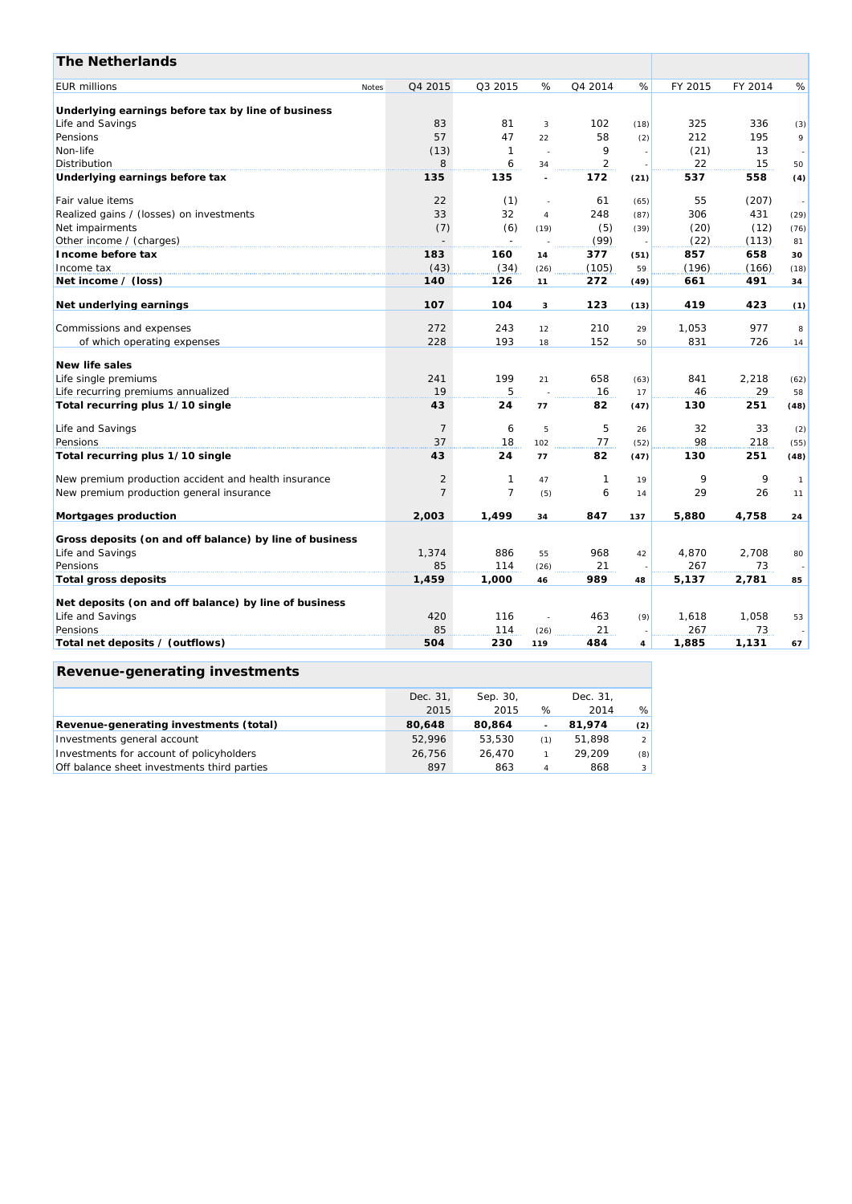| <b>The Netherlands</b>                                  |              |                |                          |                |                |      |         |         |               |
|---------------------------------------------------------|--------------|----------------|--------------------------|----------------|----------------|------|---------|---------|---------------|
| <b>EUR millions</b>                                     | <b>Notes</b> | Q4 2015        | Q3 2015                  | %              | Q4 2014        | %    | FY 2015 | FY 2014 | %             |
| Underlying earnings before tax by line of business      |              |                |                          |                |                |      |         |         |               |
| Life and Savings                                        |              | 83             | 81                       | 3              | 102            | (18) | 325     | 336     | (3)           |
| Pensions                                                |              | 57             | 47                       | 22             | 58             | (2)  | 212     | 195     | 9             |
| Non-life                                                |              | (13)           | 1                        |                | 9              |      | (21)    | 13      |               |
| Distribution                                            |              | 8              | 6                        | 34             | $\overline{2}$ |      | 22      | 15      | 50            |
| Underlying earnings before tax                          |              | 135            | 135                      | $\overline{a}$ | 172            | (21) | 537     | 558     | (4)           |
| Fair value items                                        |              | 22             | (1)                      | ÷.             | 61             | (65) | 55      | (207)   |               |
| Realized gains / (losses) on investments                |              | 33             | 32                       | $\overline{4}$ | 248            | (87) | 306     | 431     | (29)          |
| Net impairments                                         |              | (7)            | (6)                      | (19)           | (5)            | (39) | (20)    | (12)    | (76)          |
| Other income / (charges)                                |              |                | $\overline{\phantom{a}}$ |                | (99)           |      | (22)    | (113)   | 81            |
| Income before tax                                       |              | 183            | 160                      | 14             | 377            | (51) | 857     | 658     | 30            |
| Income tax                                              |              | (43)           | (34)                     | (26)           | (105)          | 59   | (196)   | (166)   | (18)          |
| Net income / (loss)                                     |              | 140            | 126                      | 11             | 272            | (49) | 661     | 491     | 34            |
| Net underlying earnings                                 |              | 107            | 104                      | 3              | 123            | (13) | 419     | 423     | (1)           |
| Commissions and expenses                                |              | 272            | 243                      | 12             | 210            | 29   | 1,053   | 977     | 8             |
| of which operating expenses                             |              | 228            | 193                      | 18             | 152            | 50   | 831     | 726     | 14            |
| New life sales                                          |              |                |                          |                |                |      |         |         |               |
| Life single premiums                                    |              | 241            | 199                      | 21             | 658            | (63) | 841     | 2,218   | (62)          |
| Life recurring premiums annualized                      |              | 19             | 5                        |                | 16             | 17   | 46      | 29      | 58            |
| Total recurring plus 1/10 single                        |              | 43             | 24                       | 77             | 82             | (47) | 130     | 251     | (48)          |
| Life and Savings                                        |              | $\overline{7}$ | 6                        | 5              | 5              | 26   | 32      | 33      | (2)           |
| Pensions                                                |              | 37             | 18                       | 102            | 77             | (52) | 98      | 218     | (55)          |
| Total recurring plus 1/10 single                        |              | 43             | 24                       | 77             | 82             | (47) | 130     | 251     | (48)          |
| New premium production accident and health insurance    |              | 2              | 1                        | 47             | $\mathbf{1}$   | 19   | 9       | 9       | $\mathcal{I}$ |
| New premium production general insurance                |              | 7              | $\overline{7}$           | (5)            | 6              | 14   | 29      | 26      | $77$          |
| Mortgages production                                    |              | 2,003          | 1,499                    | 34             | 847            | 137  | 5,880   | 4,758   | 24            |
| Gross deposits (on and off balance) by line of business |              |                |                          |                |                |      |         |         |               |
| Life and Savings                                        |              | 1,374          | 886                      | 55             | 968            | 42   | 4,870   | 2,708   | 80            |
| Pensions                                                |              | 85             | 114                      | (26)           | 21             |      | 267     | 73      |               |
| <b>Total gross deposits</b>                             |              | 1,459          | 1,000                    | 46             | 989            | 48   | 5,137   | 2,781   | 85            |
| Net deposits (on and off balance) by line of business   |              |                |                          |                |                |      |         |         |               |
| Life and Savings                                        |              | 420            | 116                      | ÷.             | 463            | (9)  | 1,618   | 1,058   | 53            |
| Pensions                                                |              | 85             | 114                      | (26)           | 21             |      | 267     | 73      |               |
| Total net deposits / (outflows)                         |              | 504            | 230                      | 119            | 484            | 4    | 1,885   | 1,131   | 67            |

|                                             | Dec. 31. | Sep. 30. |                          | Dec. 31. |                |
|---------------------------------------------|----------|----------|--------------------------|----------|----------------|
|                                             | 2015     | 2015     | $\%$                     | 2014     | $\%$           |
| Revenue-generating investments (total)      | 80.648   | 80.864   | $\overline{\phantom{a}}$ | 81.974   | (2)            |
| Investments general account                 | 52.996   | 53.530   | (1)                      | 51.898   | $\overline{2}$ |
| Investments for account of policyholders    | 26.756   | 26.470   |                          | 29.209   | (8)            |
| Off balance sheet investments third parties | 897      | 863      | $\overline{4}$           | 868      | 3              |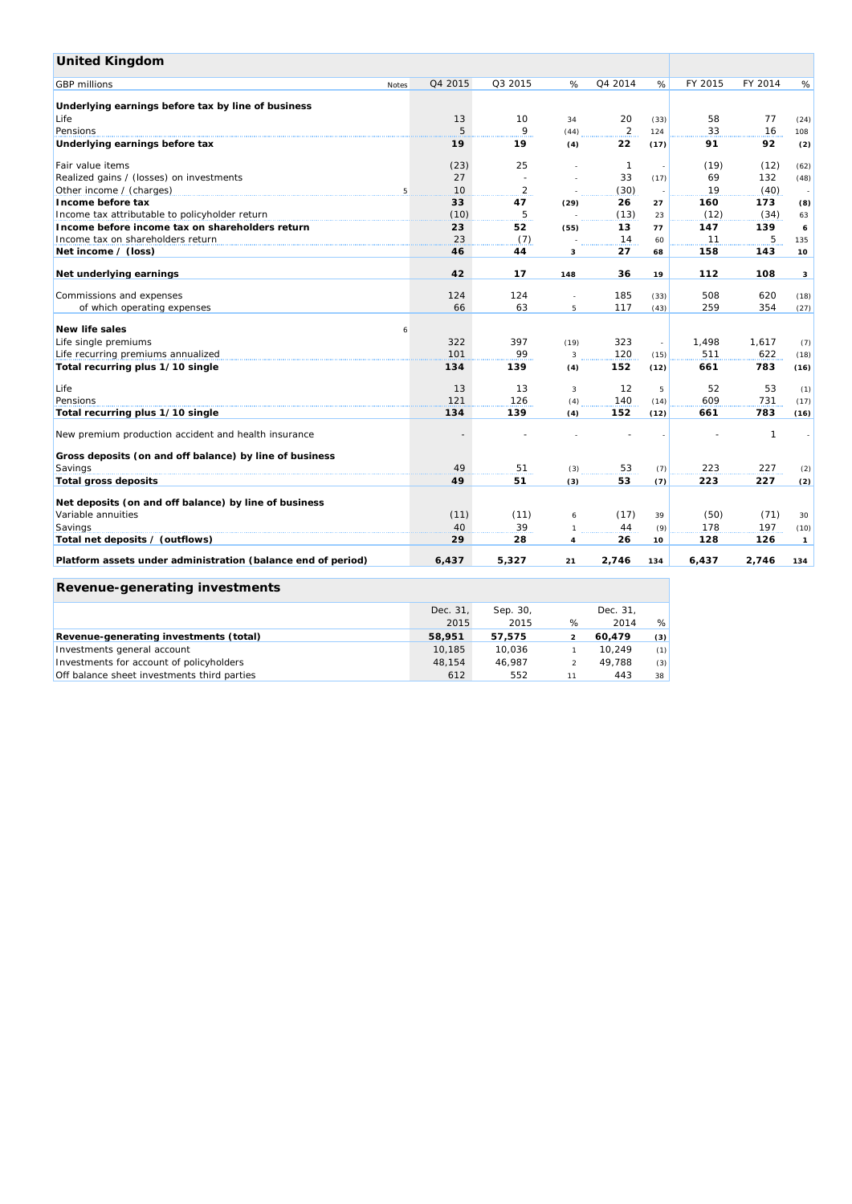| <b>United Kingdom</b>                                        |         |         |                |                |      |         |              |              |
|--------------------------------------------------------------|---------|---------|----------------|----------------|------|---------|--------------|--------------|
| <b>GBP</b> millions<br><b>Notes</b>                          | Q4 2015 | Q3 2015 | %              | Q4 2014        | %    | FY 2015 | FY 2014      | %            |
|                                                              |         |         |                |                |      |         |              |              |
| Underlying earnings before tax by line of business           |         |         |                |                |      |         |              |              |
| Life                                                         | 13      | 10      | 34             | 20             | (33) | 58      | 77           | (24)         |
| Pensions                                                     | 5       | 9       | (44)           | $\overline{c}$ | 124  | 33      | 16           | 108          |
| Underlying earnings before tax                               | 19      | 19      | (4)            | 22             | (17) | 91      | 92           | (2)          |
| Fair value items                                             | (23)    | 25      |                | $\mathbf{1}$   |      | (19)    | (12)         | (62)         |
| Realized gains / (losses) on investments                     | 27      | $\sim$  |                | 33             | (17) | 69      | 132          | (48)         |
| Other income / (charges)                                     | 10<br>5 | 2       |                | (30)           |      | 19      | (40)         |              |
| Income before tax                                            | 33      | 47      | (29)           | 26             | 27   | 160     | 173          | (8)          |
| Income tax attributable to policyholder return               | (10)    | 5       |                | (13)           | 23   | (12)    | (34)         | 63           |
| Income before income tax on shareholders return              | 23      | 52      | (55)           | 13             | 77   | 147     | 139          | 6            |
| Income tax on shareholders return                            | 23      | (7)     |                | 14             | 60   | 11      | 5            | 135          |
| Net income / (loss)                                          | 46      | 44      | 3              | 27             | 68   | 158     | 143          | 10           |
|                                                              |         |         |                |                |      |         |              |              |
| Net underlying earnings                                      | 42      | 17      | 148            | 36             | 19   | 112     | 108          | 3            |
| Commissions and expenses                                     | 124     | 124     |                | 185            | (33) | 508     | 620          | (18)         |
| of which operating expenses                                  | 66      | 63      | 5              | 117            | (43) | 259     | 354          | (27)         |
|                                                              |         |         |                |                |      |         |              |              |
| <b>New life sales</b>                                        | 6       |         |                |                |      |         |              |              |
| Life single premiums                                         | 322     | 397     | (19)           | 323            |      | 1,498   | 1.617        | (7)          |
| Life recurring premiums annualized                           | 101     | 99      | $\overline{3}$ | 120            | (15) | 511     | 622          | (18)         |
| Total recurring plus 1/10 single                             | 134     | 139     | (4)            | 152            | (12) | 661     | 783          | (16)         |
| Life                                                         | 13      | 13      | $\overline{3}$ | 12             | 5    | 52      | 53           | (1)          |
| Pensions                                                     | 121     | 126     | (4)            | 140            | (14) | 609     | 731          | (17)         |
| Total recurring plus 1/10 single                             | 134     | 139     | (4)            | 152            | (12) | 661     | 783          | (16)         |
| New premium production accident and health insurance         |         |         |                |                |      |         | $\mathbf{1}$ |              |
| Gross deposits (on and off balance) by line of business      |         |         |                |                |      |         |              |              |
| Savings                                                      | 49      | 51      | (3)            | 53             | (7)  | 223     | 227          | (2)          |
| <b>Total gross deposits</b>                                  | 49      | 51      | (3)            | 53             | (7)  | 223     | 227          | (2)          |
| Net deposits (on and off balance) by line of business        |         |         |                |                |      |         |              |              |
| Variable annuities                                           | (11)    | (11)    | 6              | (17)           | 39   | (50)    | (71)         | 30           |
| Savings                                                      | 40      | 39      |                | 44             | (9)  | 178     | 197          | (10)         |
| Total net deposits / (outflows)                              | 29      | 28      | 4              | 26             | 10   | 128     | 126          | $\mathbf{1}$ |
|                                                              |         |         |                |                |      |         |              |              |
| Platform assets under administration (balance end of period) | 6,437   | 5,327   | 21             | 2,746          | 134  | 6,437   | 2,746        | 134          |

|                                             | Dec. 31. | Sep. 30. |    | Dec. 31. |     |
|---------------------------------------------|----------|----------|----|----------|-----|
|                                             | 2015     | 2015     | %  | 2014     | %   |
| Revenue-generating investments (total)      | 58,951   | 57.575   |    | 60.479   | (3) |
| Investments general account                 | 10.185   | 10.036   |    | 10.249   | (1) |
| Investments for account of policyholders    | 48.154   | 46.987   |    | 49.788   | (3) |
| Off balance sheet investments third parties | 612      | 552      | 11 | 443      | 38  |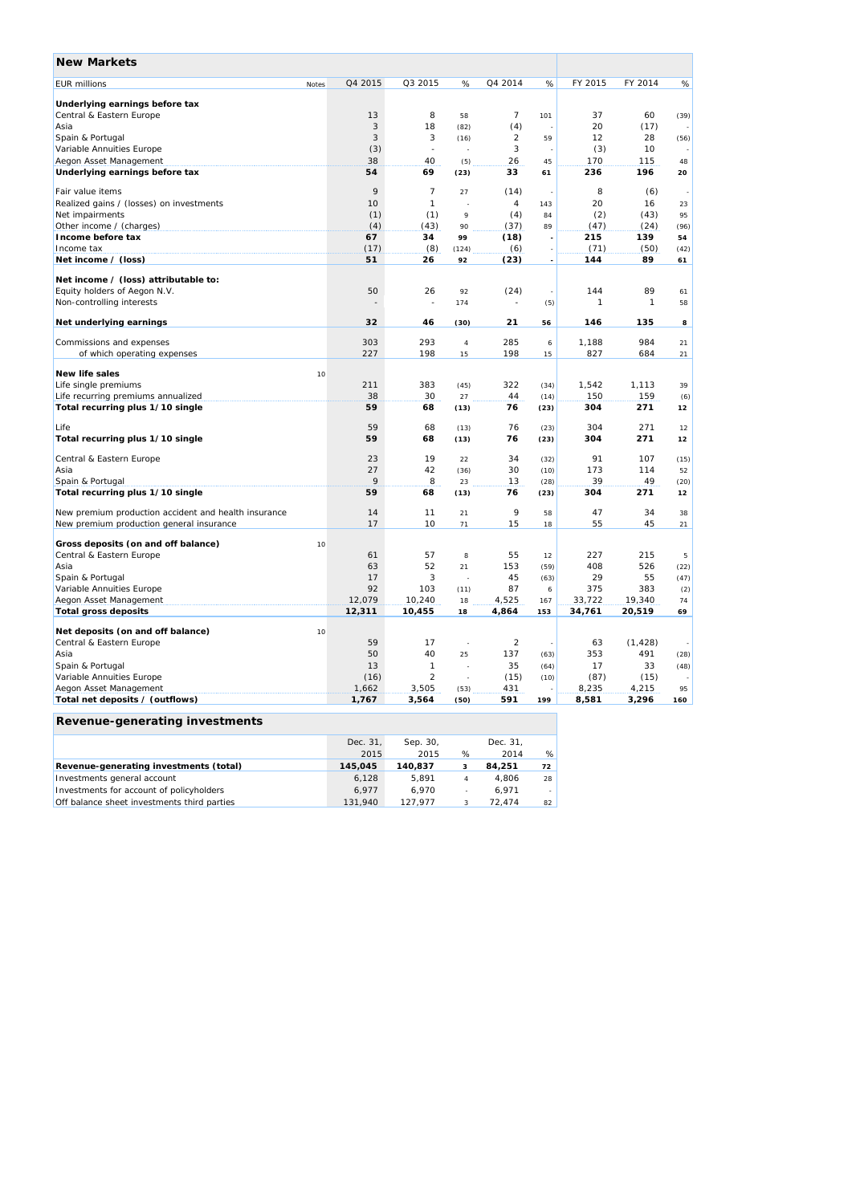| <b>New Markets</b>                                   |         |                |                        |                |      |         |          |      |
|------------------------------------------------------|---------|----------------|------------------------|----------------|------|---------|----------|------|
| <b>EUR</b> millions<br>Notes                         | Q4 2015 | Q3 2015        | %                      | Q4 2014        | %    | FY 2015 | FY 2014  | %    |
| Underlying earnings before tax                       |         |                |                        |                |      |         |          |      |
| Central & Eastern Europe                             | 13      | 8              | 58                     | $\overline{7}$ | 101  | 37      | 60       | (39) |
| Asia                                                 | 3       | 18             | (82)                   | (4)            |      | 20      | (17)     |      |
| Spain & Portugal                                     | 3       | 3              | (16)                   | $\overline{2}$ | 59   | 12      | 28       | (56) |
| Variable Annuities Europe                            | (3)     | ÷,             | ×                      | 3              |      | (3)     | 10       |      |
| Aegon Asset Management                               | 38      | 40             | (5)                    | 26             | 45   | 170     | 115      | 48   |
| Underlying earnings before tax                       | 54      | 69             | (23)                   | 33             | 61   | 236     | 196      | 20   |
| Fair value items                                     | 9       | $\overline{7}$ | 27                     | (14)           |      | 8       | (6)      |      |
| Realized gains / (losses) on investments             | 10      | $\mathbf{1}$   |                        | 4              | 143  | 20      | 16       | 23   |
| Net impairments                                      | (1)     | (1)            | 9                      | (4)            | 84   | (2)     | (43)     | 95   |
| Other income / (charges)                             | (4)     | (43)           | 90                     | (37)           | 89   | (47)    | (24)     | (96) |
| Income before tax                                    | 67      | 34             | 99                     | (18)           |      | 215     | 139      | 54   |
| Income tax                                           | (17)    | (8)            | (124)                  | (6)            |      | (71)    | (50)     | (42) |
| Net income / (loss)                                  | 51      | 26             | 92                     | (23)           |      | 144     | 89       | 61   |
| Net income / (loss) attributable to:                 |         |                |                        |                |      |         |          |      |
| Equity holders of Aegon N.V.                         | 50      | 26             | 92                     | (24)           |      | 144     | 89       | 61   |
| Non-controlling interests                            |         |                | 174                    | $\overline{a}$ | (5)  | 1       | 1        | 58   |
| Net underlying earnings                              | 32      | 46             | (30)                   | 21             | 56   | 146     | 135      | 8    |
| Commissions and expenses                             | 303     | 293            | $\boldsymbol{\Lambda}$ | 285            | 6    | 1,188   | 984      | 21   |
| of which operating expenses                          | 227     | 198            | 15                     | 198            | 15   | 827     | 684      | 21   |
|                                                      |         |                |                        |                |      |         |          |      |
| New life sales<br>10                                 |         |                |                        |                |      |         |          |      |
| Life single premiums                                 | 211     | 383            | (45)                   | 322            | (34) | 1,542   | 1,113    | 39   |
| Life recurring premiums annualized                   | 38      | 30             | 27                     | 44             | (14) | 150     | 159      | (6)  |
| Total recurring plus 1/10 single                     | 59      | 68             | (13)                   | 76             | (23) | 304     | 271      | 12   |
| Life                                                 | 59      | 68             | (13)                   | 76             | (23) | 304     | 271      | 12   |
| Total recurring plus 1/10 single                     | 59      | 68             | (13)                   | 76             | (23) | 304     | 271      | 12   |
| Central & Eastern Europe                             | 23      | 19             | 22                     | 34             | (32) | 91      | 107      | (15) |
| Asia                                                 | 27      | 42             | (36)                   | 30             | (10) | 173     | 114      | 52   |
| Spain & Portugal                                     | 9       | 8              | 23                     | 13             | (28) | 39      | 49       | (20) |
| Total recurring plus 1/10 single                     | 59      | 68             | (13)                   | 76             | (23) | 304     | 271      | 12   |
| New premium production accident and health insurance | 14      | 11             | 21                     | 9              | 58   | 47      | 34       | 38   |
| New premium production general insurance             | 17      | 10             | 71                     | 15             | 18   | 55      | 45       | 21   |
| Gross deposits (on and off balance)<br>10            |         |                |                        |                |      |         |          |      |
| Central & Eastern Europe                             | 61      | 57             | 8                      | 55             | 12   | 227     | 215      | 5    |
| Asia                                                 | 63      | 52             | 21                     | 153            | (59) | 408     | 526      | (22) |
| Spain & Portugal                                     | 17      | 3              | ×.                     | 45             | (63) | 29      | 55       | (47) |
| Variable Annuities Europe                            | 92      | 103            | (11)                   | 87             | 6    | 375     | 383      | (2)  |
| Aegon Asset Management                               | 12,079  | 10,240         | 18                     | 4,525          | 167  | 33,722  | 19,340   | 74   |
| <b>Total gross deposits</b>                          | 12,311  | 10,455         | 18                     | 4,864          | 153  | 34,761  | 20,519   | 69   |
|                                                      |         |                |                        |                |      |         |          |      |
| Net deposits (on and off balance)<br>10              |         |                |                        |                |      |         |          |      |
| Central & Eastern Europe                             | 59      | 17             | i.                     | $\overline{2}$ |      | 63      | (1, 428) |      |
| Asia                                                 | 50      | 40             | 25                     | 137            | (63) | 353     | 491      | (28) |
| Spain & Portugal                                     | 13      | $\mathbf{1}$   | i.                     | 35             | (64) | 17      | 33       | (48) |
| Variable Annuities Europe                            | (16)    | $\overline{2}$ | ×,                     | (15)           | (10) | (87)    | (15)     |      |
| Aegon Asset Management                               | 1,662   | 3,505          | (53)                   | 431            |      | 8,235   | 4,215    | 95   |
| Total net deposits / (outflows)                      | 1,767   | 3,564          | (50)                   | 591            | 199  | 8,581   | 3,296    | 160  |
| Revenue-generating investments                       |         |                |                        |                |      |         |          |      |

|                                             | Dec. 31. | Sep. 30. |        | Dec. 31. |    |
|---------------------------------------------|----------|----------|--------|----------|----|
|                                             | 2015     | 2015     | %      | 2014     | %  |
| Revenue-generating investments (total)      | 145,045  | 140.837  |        | 84.251   | 72 |
| Investments general account                 | 6.128    | 5.891    | 4      | 4.806    | 28 |
| Investments for account of policyholders    | 6.977    | 6.970    | $\sim$ | 6.971    | ٠  |
| Off balance sheet investments third parties | 131.940  | 127.977  |        | 72.474   | 82 |
|                                             |          |          |        |          |    |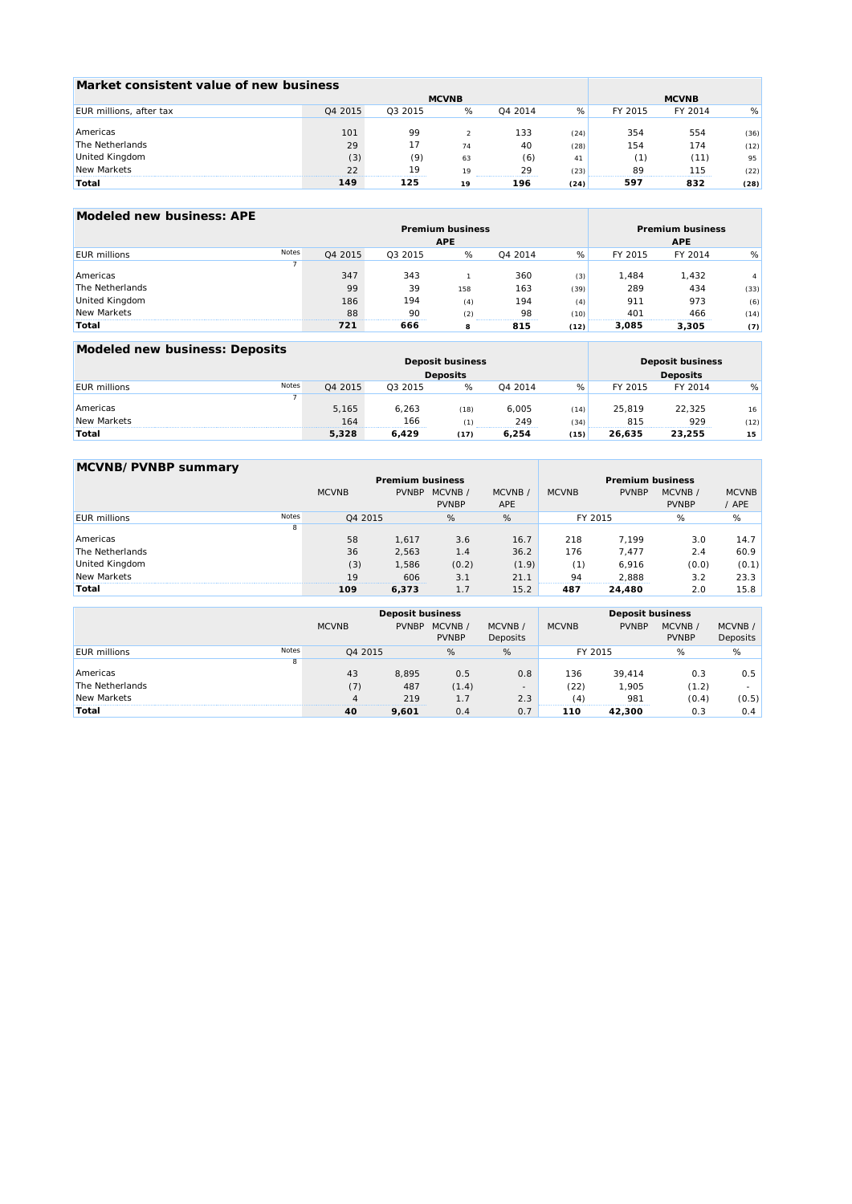| Market consistent value of new business |         |              |    |              |      |         |         |      |
|-----------------------------------------|---------|--------------|----|--------------|------|---------|---------|------|
|                                         |         | <b>MCVNB</b> |    | <b>MCVNB</b> |      |         |         |      |
| EUR millions, after tax                 | Q4 2015 | Q3 2015      | %  | 04 2014      | %    | FY 2015 | FY 2014 | %    |
|                                         |         |              |    |              |      |         |         |      |
| Americas                                | 101     | 99           |    | 133          | (24) | 354     | 554     | (36) |
| The Netherlands                         | 29      | 17           | 74 | 40           | (28) | 154     | 174     | (12) |
| United Kingdom                          | (3)     | (9)          | 63 | (6)          |      |         | (11)    | 95   |
| New Markets                             | 22      | 10           | 19 | 29           | (23) | 89      | 115     | (22) |
| Total                                   | 149     | 125          | 19 | 196          | (24) | 597     | 832     | (28) |

| <b>Modeled new business: APE</b> |              |         |            |                         |                     |      |                         |         |      |  |
|----------------------------------|--------------|---------|------------|-------------------------|---------------------|------|-------------------------|---------|------|--|
|                                  |              |         |            | <b>Premium business</b> |                     |      | <b>Premium business</b> |         |      |  |
|                                  |              |         | <b>APE</b> |                         | <b>APE</b>          |      |                         |         |      |  |
| <b>EUR</b> millions              | <b>Notes</b> | Q4 2015 | Q3 2015    | %                       | O <sub>4</sub> 2014 | %    | FY 2015                 | FY 2014 | %    |  |
|                                  |              |         |            |                         |                     |      |                         |         |      |  |
| Americas                         |              | 347     | 343        |                         | 360                 | (3)  | 1.484                   | 1,432   |      |  |
| The Netherlands                  |              | 99      | 39         | 158                     | 163                 | (39) | 289                     | 434     | (33) |  |
| United Kingdom                   |              | 186     | 194        | (4)                     | 194                 | (4)  | 911                     | 973     | (6)  |  |
| New Markets                      |              | 88      | -90        | (2)                     | 98<br>              | (10) | 401                     | 466     | (14) |  |
| Total                            |              | 721     | 666        | 8                       | 815                 | (12) | 3,085                   | 3,305   | (7)  |  |

| <b>Modeled new business: Deposits</b> |              |                 |         |      |                     |      |         |                         |      |  |  |  |
|---------------------------------------|--------------|-----------------|---------|------|---------------------|------|---------|-------------------------|------|--|--|--|
| <b>Deposit business</b>               |              |                 |         |      |                     |      |         | <b>Deposit business</b> |      |  |  |  |
|                                       |              | <b>Deposits</b> |         |      |                     |      |         |                         |      |  |  |  |
| <b>EUR</b> millions                   | <b>Notes</b> | Q4 2015         | Q3 2015 | %    | O <sub>4</sub> 2014 | %    | FY 2015 | FY 2014                 | %    |  |  |  |
|                                       |              |                 |         |      |                     |      |         |                         |      |  |  |  |
| Americas                              |              | 5.165           | 6.263   | (18) | 6.005               | (14) | 25.819  | 22.325                  | 16   |  |  |  |
| New Markets                           |              | 164             | 166     | (1)  | 249                 | (34) | 815     | 929                     | (12) |  |  |  |
| Total                                 |              | 5,328           | 6,429   | (17) | 6,254               | (15) | 26.635  | 23,255                  | 15   |  |  |  |

 $\sim$ 

| MCVNB/PVNBP summary |              |              |              |                         |                         |              |              |                         |                       |  |
|---------------------|--------------|--------------|--------------|-------------------------|-------------------------|--------------|--------------|-------------------------|-----------------------|--|
|                     |              |              |              | <b>Premium business</b> | <b>Premium business</b> |              |              |                         |                       |  |
|                     |              | <b>MCVNB</b> | <b>PVNBP</b> | MCVNB /<br><b>PVNBP</b> | MCVNB /<br>APE          | <b>MCVNB</b> | <b>PVNBP</b> | MCVNB /<br><b>PVNBP</b> | <b>MCVNB</b><br>/ APE |  |
| <b>EUR</b> millions | <b>Notes</b> | Q4 2015      |              | %                       | %                       | FY 2015      |              | %                       | %                     |  |
|                     | 8            |              |              |                         |                         |              |              |                         |                       |  |
| Americas            |              | 58           | 1.617        | 3.6                     | 16.7                    | 218          | 7.199        | 3.0                     | 14.7                  |  |
| The Netherlands     |              | 36           | 2.563        | 1.4                     | 36.2                    | 176          | 7.477        | 2.4                     | 60.9                  |  |
| United Kingdom      |              | (3)          | 1.586        | (0.2)                   | (1.9)                   | (1)          | 6.916        | (0.0)                   | (0.1)                 |  |
| New Markets         |              | 19           | 606          | 3.1                     | 21.1                    | 94           | 2.888        | 3.2                     | 23.3                  |  |
| Total               |              | 109          | 6,373        | 1.7                     | 15.2                    | 487          | 24,480       | 2.0                     | 15.8                  |  |

|                     |       |              | <b>Deposit business</b> |                         |                          |                   |              |                         |                     |
|---------------------|-------|--------------|-------------------------|-------------------------|--------------------------|-------------------|--------------|-------------------------|---------------------|
|                     |       | <b>MCVNB</b> | <b>PVNBP</b>            | MCVNB /<br><b>PVNBP</b> | MCVNB /<br>Deposits      | <b>MCVNB</b>      | <b>PVNBP</b> | MCVNB /<br><b>PVNBP</b> | MCVNB /<br>Deposits |
| <b>EUR</b> millions | Notes | Q4 2015      |                         | %                       | %                        |                   | FY 2015      | %                       | %                   |
|                     | 8     |              |                         |                         |                          |                   |              |                         |                     |
| Americas            |       | 43           | 8.895                   | 0.5                     | 0.8                      | 136               | 39.414       | 0.3                     | 0.5                 |
| The Netherlands     |       | (7)          | 487                     | (1.4)                   | $\overline{\phantom{a}}$ | (22)              | 1.905        | (1.2)                   |                     |
| New Markets         |       |              | 219                     | 1.7                     | 2.3                      | $\left( 4\right)$ | 981          | (0.4)                   | (0.5)               |
| Total               |       | 40           | 9.601                   | 0.4                     | 0.7                      | 110               | 42,300       | 0.3                     | 0.4                 |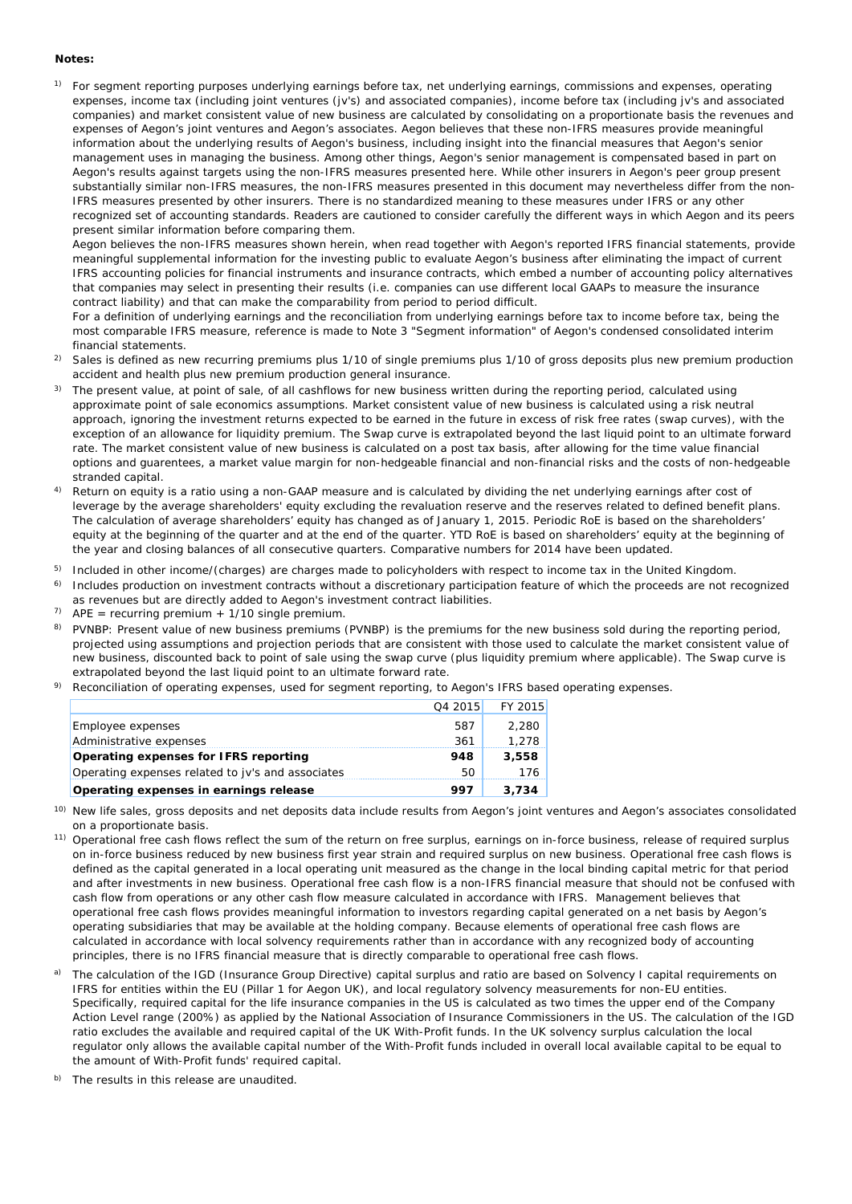### **Notes:**

<sup>1)</sup> For segment reporting purposes underlying earnings before tax, net underlying earnings, commissions and expenses, operating expenses, income tax (including joint ventures (jv's) and associated companies), income before tax (including jv's and associated companies) and market consistent value of new business are calculated by consolidating on a proportionate basis the revenues and expenses of Aegon's joint ventures and Aegon's associates. Aegon believes that these non-IFRS measures provide meaningful information about the underlying results of Aegon's business, including insight into the financial measures that Aegon's senior management uses in managing the business. Among other things, Aegon's senior management is compensated based in part on Aegon's results against targets using the non-IFRS measures presented here. While other insurers in Aegon's peer group present substantially similar non-IFRS measures, the non-IFRS measures presented in this document may nevertheless differ from the non-IFRS measures presented by other insurers. There is no standardized meaning to these measures under IFRS or any other recognized set of accounting standards. Readers are cautioned to consider carefully the different ways in which Aegon and its peers present similar information before comparing them.

Aegon believes the non-IFRS measures shown herein, when read together with Aegon's reported IFRS financial statements, provide meaningful supplemental information for the investing public to evaluate Aegon's business after eliminating the impact of current IFRS accounting policies for financial instruments and insurance contracts, which embed a number of accounting policy alternatives that companies may select in presenting their results (i.e. companies can use different local GAAPs to measure the insurance contract liability) and that can make the comparability from period to period difficult.

For a definition of underlying earnings and the reconciliation from underlying earnings before tax to income before tax, being the most comparable IFRS measure, reference is made to Note 3 "Segment information" of Aegon's condensed consolidated interim financial statements.

- $\mathcal{D}$ Sales is defined as new recurring premiums plus 1/10 of single premiums plus 1/10 of gross deposits plus new premium production accident and health plus new premium production general insurance.
- <sup>3)</sup> The present value, at point of sale, of all cashflows for new business written during the reporting period, calculated using approximate point of sale economics assumptions. Market consistent value of new business is calculated using a risk neutral approach, ignoring the investment returns expected to be earned in the future in excess of risk free rates (swap curves), with the exception of an allowance for liquidity premium. The Swap curve is extrapolated beyond the last liquid point to an ultimate forward rate. The market consistent value of new business is calculated on a post tax basis, after allowing for the time value financial options and guarentees, a market value margin for non-hedgeable financial and non-financial risks and the costs of non-hedgeable stranded capital.
- 4) Return on equity is a ratio using a non-GAAP measure and is calculated by dividing the net underlying earnings after cost of leverage by the average shareholders' equity excluding the revaluation reserve and the reserves related to defined benefit plans. The calculation of average shareholders' equity has changed as of January 1, 2015. Periodic RoE is based on the shareholders' equity at the beginning of the quarter and at the end of the quarter. YTD RoE is based on shareholders' equity at the beginning of the year and closing balances of all consecutive quarters. Comparative numbers for 2014 have been updated.
- 5) Included in other income/(charges) are charges made to policyholders with respect to income tax in the United Kingdom.
- 6) Includes production on investment contracts without a discretionary participation feature of which the proceeds are not recognized as revenues but are directly added to Aegon's investment contract liabilities.
- <sup>7)</sup> APE = recurring premium + 1/10 single premium.
- 8) PVNBP: Present value of new business premiums (PVNBP) is the premiums for the new business sold during the reporting period, projected using assumptions and projection periods that are consistent with those used to calculate the market consistent value of new business, discounted back to point of sale using the swap curve (plus liquidity premium where applicable). The Swap curve is extrapolated beyond the last liquid point to an ultimate forward rate.
- $9$  Reconciliation of operating expenses, used for segment reporting, to Aegon's IFRS based operating expenses.

| Operating expenses in earnings release<br>997           |         |
|---------------------------------------------------------|---------|
| Operating expenses related to jy's and associates<br>50 | 176     |
| Operating expenses for IFRS reporting<br>948            | 3,558   |
| Administrative expenses<br>361                          | 1.278   |
| 587<br>Employee expenses                                | 2.280   |
| Q4 2015                                                 | FY 2015 |

- <sup>10)</sup> New life sales, gross deposits and net deposits data include results from Aegon's joint ventures and Aegon's associates consolidated on a proportionate basis.
- <sup>11)</sup> Operational free cash flows reflect the sum of the return on free surplus, earnings on in-force business, release of required surplus on in-force business reduced by new business first year strain and required surplus on new business. Operational free cash flows is defined as the capital generated in a local operating unit measured as the change in the local binding capital metric for that period and after investments in new business. Operational free cash flow is a non-IFRS financial measure that should not be confused with cash flow from operations or any other cash flow measure calculated in accordance with IFRS. Management believes that operational free cash flows provides meaningful information to investors regarding capital generated on a net basis by Aegon's operating subsidiaries that may be available at the holding company. Because elements of operational free cash flows are calculated in accordance with local solvency requirements rather than in accordance with any recognized body of accounting principles, there is no IFRS financial measure that is directly comparable to operational free cash flows.
- a) The calculation of the IGD (Insurance Group Directive) capital surplus and ratio are based on Solvency I capital requirements on IFRS for entities within the EU (Pillar 1 for Aegon UK), and local regulatory solvency measurements for non-EU entities. Specifically, required capital for the life insurance companies in the US is calculated as two times the upper end of the Company Action Level range (200%) as applied by the National Association of Insurance Commissioners in the US. The calculation of the IGD ratio excludes the available and required capital of the UK With-Profit funds. In the UK solvency surplus calculation the local regulator only allows the available capital number of the With-Profit funds included in overall local available capital to be equal to the amount of With-Profit funds' required capital.
- b) The results in this release are unaudited.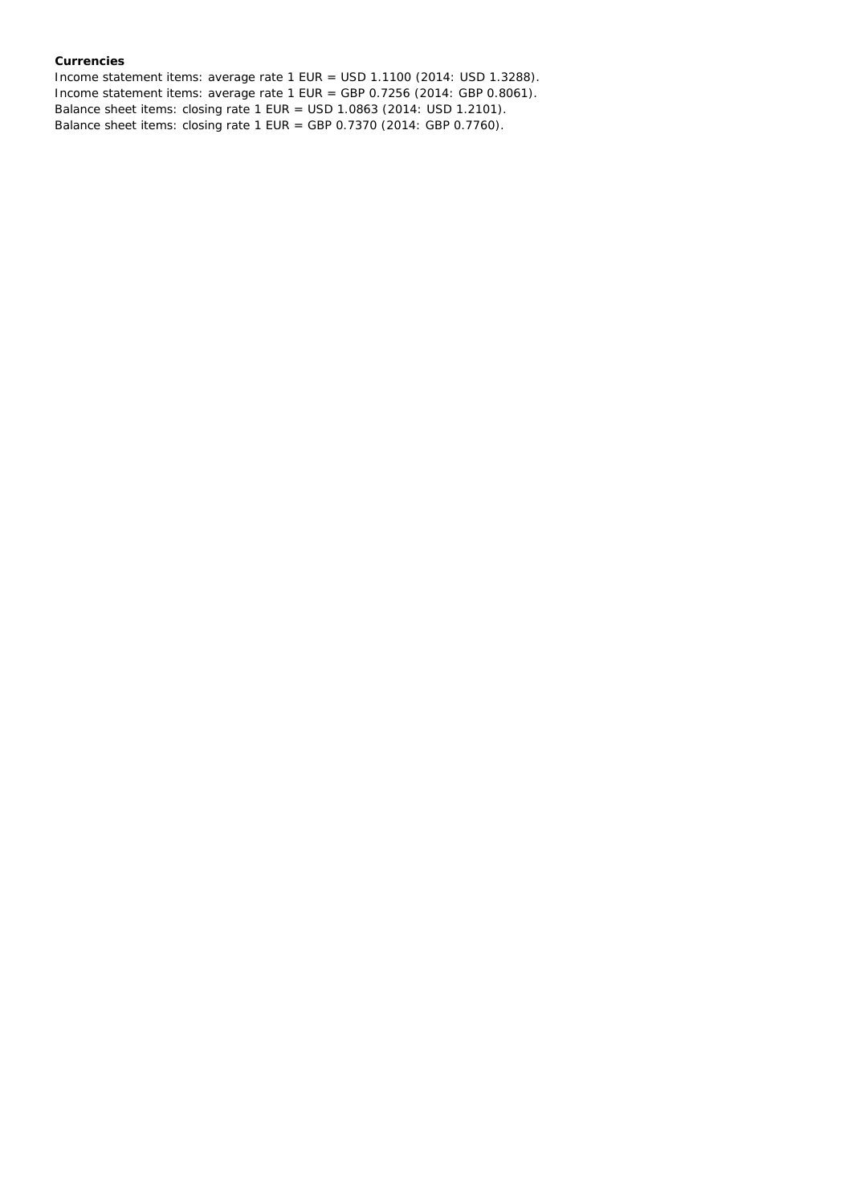### **Currencies**

Income statement items: average rate 1 EUR = USD 1.1100 (2014: USD 1.3288). Income statement items: average rate 1 EUR = GBP 0.7256 (2014: GBP 0.8061). Balance sheet items: closing rate 1 EUR = USD 1.0863 (2014: USD 1.2101). Balance sheet items: closing rate 1 EUR = GBP 0.7370 (2014: GBP 0.7760).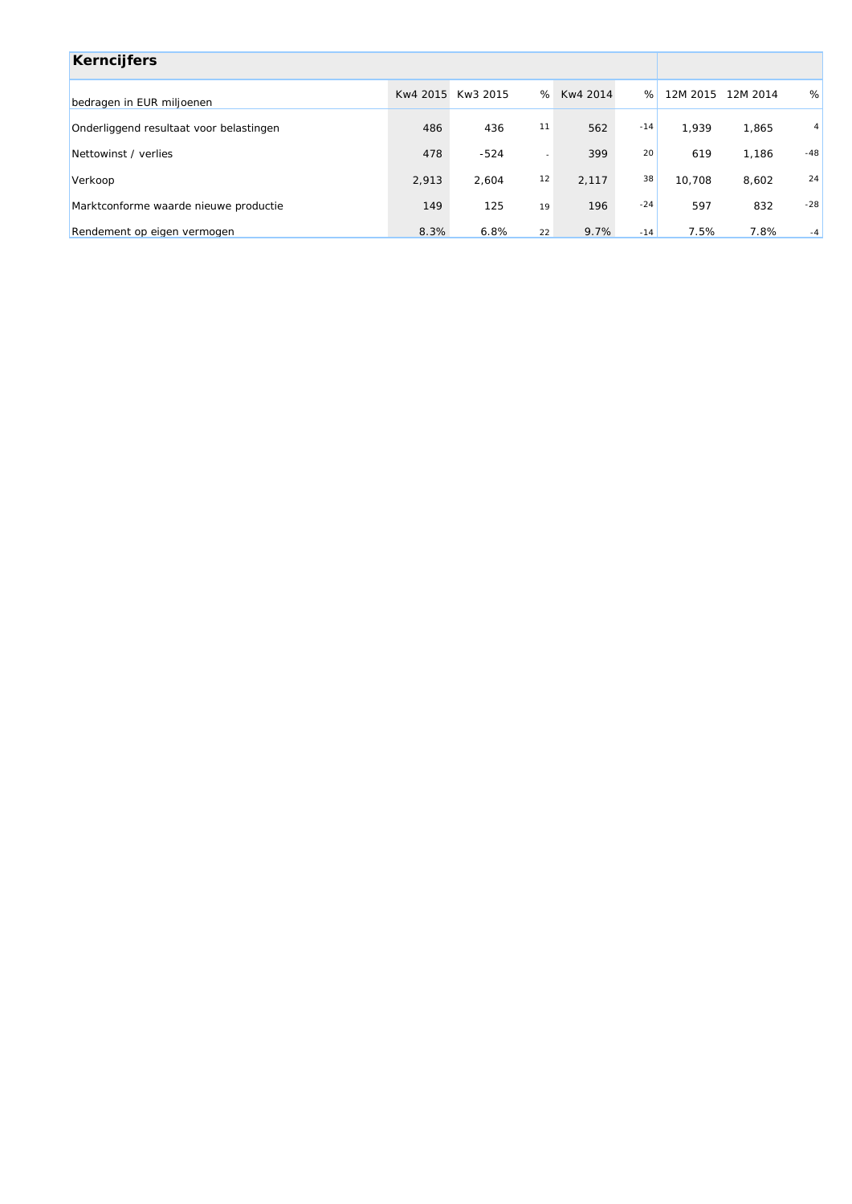| Kerncijfers                             |       |                   |    |          |       |          |          |                |
|-----------------------------------------|-------|-------------------|----|----------|-------|----------|----------|----------------|
| bedragen in EUR miljoenen               |       | Kw4 2015 Kw3 2015 | %  | Kw4 2014 | %     | 12M 2015 | 12M 2014 | %              |
| Onderliggend resultaat voor belastingen | 486   | 436               | 11 | 562      | $-14$ | 1,939    | 1,865    | 4 <sup>1</sup> |
| Nettowinst / verlies                    | 478   | $-524$            | ۰  | 399      | 20    | 619      | 1,186    | $-48$          |
| Verkoop                                 | 2.913 | 2.604             | 12 | 2.117    | 38    | 10.708   | 8,602    | 24             |
| Marktconforme waarde nieuwe productie   | 149   | 125               | 19 | 196      | $-24$ | 597      | 832      | $-28$          |
| Rendement op eigen vermogen             | 8.3%  | 6.8%              | 22 | 9.7%     | $-14$ | 7.5%     | 7.8%     | $-4$           |